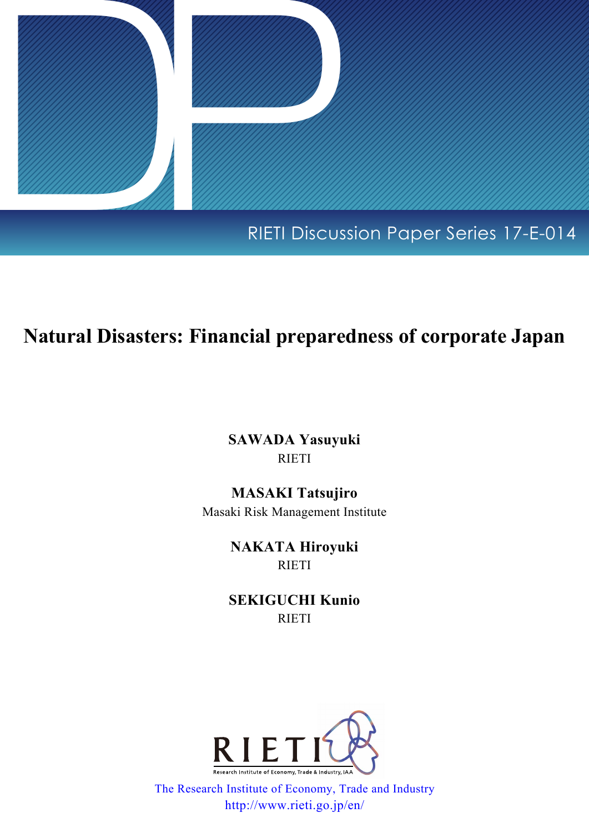

# **Natural Disasters: Financial preparedness of corporate Japan**

**SAWADA Yasuyuki** RIETI

**MASAKI Tatsujiro** Masaki Risk Management Institute

> **NAKATA Hiroyuki** RIETI

**SEKIGUCHI Kunio** RIETI



[The Research Institute of Economy, Trade and Industry](http://www.rieti.go.jp/en/index.html) http://www.rieti.go.jp/en/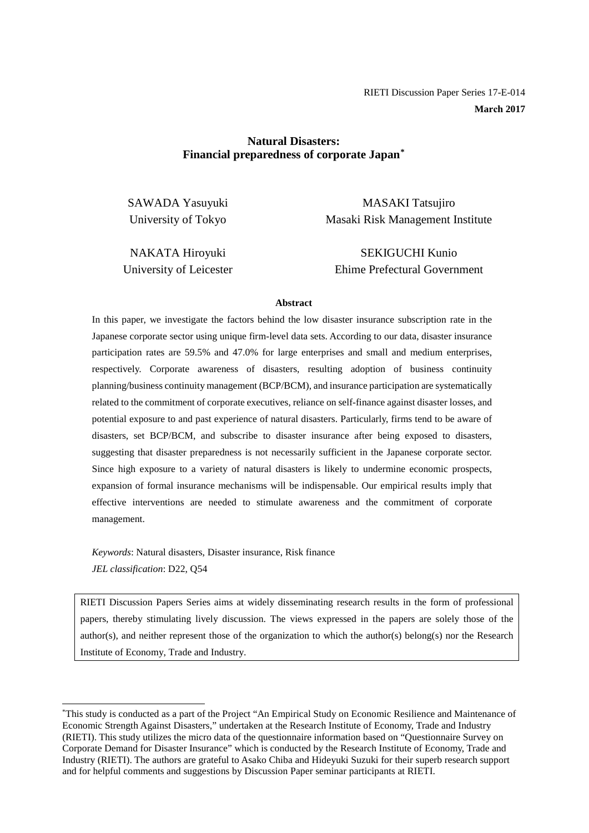# **Natural Disasters: Financial preparedness of corporate Japan[\\*](#page-1-0)**

SAWADA Yasuyuki University of Tokyo

MASAKI Tatsujiro Masaki Risk Management Institute

NAKATA Hiroyuki University of Leicester

SEKIGUCHI Kunio Ehime Prefectural Government

#### **Abstract**

In this paper, we investigate the factors behind the low disaster insurance subscription rate in the Japanese corporate sector using unique firm-level data sets. According to our data, disaster insurance participation rates are 59.5% and 47.0% for large enterprises and small and medium enterprises, respectively. Corporate awareness of disasters, resulting adoption of business continuity planning/business continuity management (BCP/BCM), and insurance participation are systematically related to the commitment of corporate executives, reliance on self-finance against disaster losses, and potential exposure to and past experience of natural disasters. Particularly, firms tend to be aware of disasters, set BCP/BCM, and subscribe to disaster insurance after being exposed to disasters, suggesting that disaster preparedness is not necessarily sufficient in the Japanese corporate sector. Since high exposure to a variety of natural disasters is likely to undermine economic prospects, expansion of formal insurance mechanisms will be indispensable. Our empirical results imply that effective interventions are needed to stimulate awareness and the commitment of corporate management.

*Keywords*: Natural disasters, Disaster insurance, Risk finance *JEL classification*: D22, Q54

RIETI Discussion Papers Series aims at widely disseminating research results in the form of professional papers, thereby stimulating lively discussion. The views expressed in the papers are solely those of the author(s), and neither represent those of the organization to which the author(s) belong(s) nor the Research Institute of Economy, Trade and Industry.

<span id="page-1-0"></span><sup>\*</sup> This study is conducted as a part of the Project "An Empirical Study on Economic Resilience and Maintenance of Economic Strength Against Disasters," undertaken at the Research Institute of Economy, Trade and Industry (RIETI). This study utilizes the micro data of the questionnaire information based on "Questionnaire Survey on Corporate Demand for Disaster Insurance" which is conducted by the Research Institute of Economy, Trade and Industry (RIETI). The authors are grateful to Asako Chiba and Hideyuki Suzuki for their superb research support and for helpful comments and suggestions by Discussion Paper seminar participants at RIETI.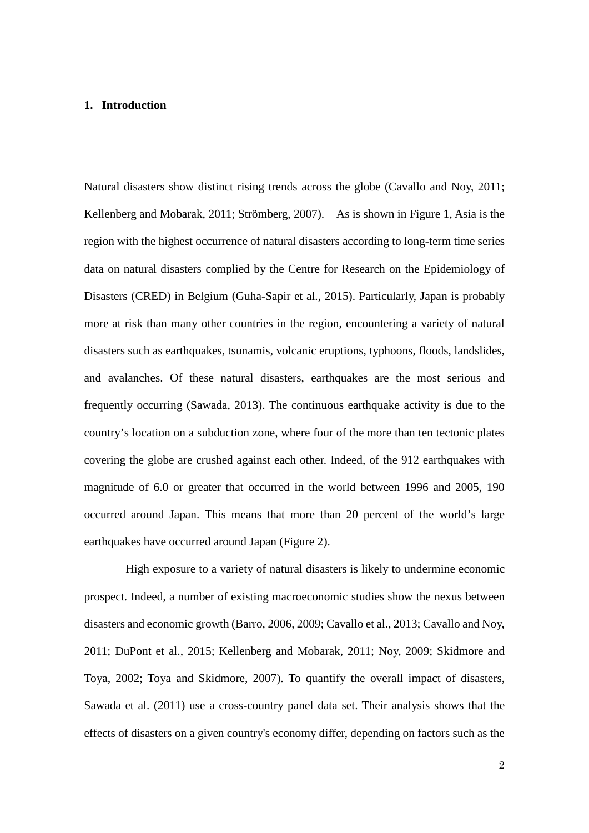#### **1. Introduction**

Natural disasters show distinct rising trends across the globe (Cavallo and Noy, 2011; Kellenberg and Mobarak, 2011; Strömberg, 2007). As is shown in Figure 1, Asia is the region with the highest occurrence of natural disasters according to long-term time series data on natural disasters complied by the Centre for Research on the Epidemiology of Disasters (CRED) in Belgium (Guha-Sapir et al., 2015). Particularly, Japan is probably more at risk than many other countries in the region, encountering a variety of natural disasters such as earthquakes, tsunamis, volcanic eruptions, typhoons, floods, landslides, and avalanches. Of these natural disasters, earthquakes are the most serious and frequently occurring (Sawada, 2013). The continuous earthquake activity is due to the country's location on a subduction zone, where four of the more than ten tectonic plates covering the globe are crushed against each other. Indeed, of the 912 earthquakes with magnitude of 6.0 or greater that occurred in the world between 1996 and 2005, 190 occurred around Japan. This means that more than 20 percent of the world's large earthquakes have occurred around Japan (Figure 2).

High exposure to a variety of natural disasters is likely to undermine economic prospect. Indeed, a number of existing macroeconomic studies show the nexus between disasters and economic growth (Barro, 2006, 2009; Cavallo et al., 2013; Cavallo and Noy, 2011; DuPont et al., 2015; Kellenberg and Mobarak, 2011; Noy, 2009; Skidmore and Toya, 2002; Toya and Skidmore, 2007). To quantify the overall impact of disasters, Sawada et al. (2011) use a cross-country panel data set. Their analysis shows that the effects of disasters on a given country's economy differ, depending on factors such as the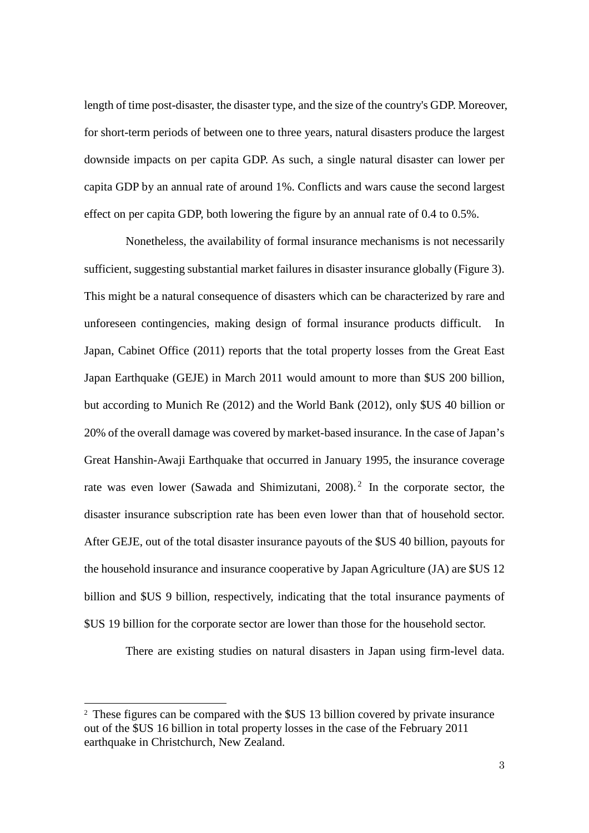length of time post-disaster, the disaster type, and the size of the country's GDP. Moreover, for short-term periods of between one to three years, natural disasters produce the largest downside impacts on per capita GDP. As such, a single natural disaster can lower per capita GDP by an annual rate of around 1%. Conflicts and wars cause the second largest effect on per capita GDP, both lowering the figure by an annual rate of 0.4 to 0.5%.

Nonetheless, the availability of formal insurance mechanisms is not necessarily sufficient, suggesting substantial market failures in disaster insurance globally (Figure 3). This might be a natural consequence of disasters which can be characterized by rare and unforeseen contingencies, making design of formal insurance products difficult. In Japan, Cabinet Office (2011) reports that the total property losses from the Great East Japan Earthquake (GEJE) in March 2011 would amount to more than \$US 200 billion, but according to Munich Re (2012) and the World Bank (2012), only \$US 40 billion or 20% of the overall damage was covered by market-based insurance. In the case of Japan's Great Hanshin-Awaji Earthquake that occurred in January 1995, the insurance coverage rate was even lower (Sawada and Shimizutani, [2](#page-3-0)008).<sup>2</sup> In the corporate sector, the disaster insurance subscription rate has been even lower than that of household sector. After GEJE, out of the total disaster insurance payouts of the \$US 40 billion, payouts for the household insurance and insurance cooperative by Japan Agriculture (JA) are \$US 12 billion and \$US 9 billion, respectively, indicating that the total insurance payments of \$US 19 billion for the corporate sector are lower than those for the household sector.

There are existing studies on natural disasters in Japan using firm-level data.

1

<span id="page-3-0"></span><sup>2</sup> These figures can be compared with the \$US 13 billion covered by private insurance out of the \$US 16 billion in total property losses in the case of the February 2011 earthquake in Christchurch, New Zealand.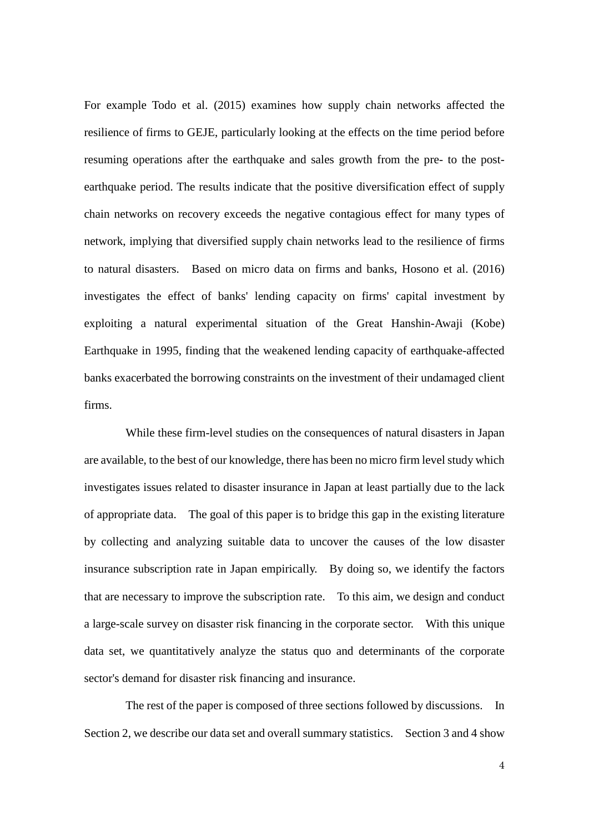For example Todo et al. (2015) examines how supply chain networks affected the resilience of firms to GEJE, particularly looking at the effects on the time period before resuming operations after the earthquake and sales growth from the pre- to the postearthquake period. The results indicate that the positive diversification effect of supply chain networks on recovery exceeds the negative contagious effect for many types of network, implying that diversified supply chain networks lead to the resilience of firms to natural disasters. Based on micro data on firms and banks, Hosono et al. (2016) investigates the effect of banks' lending capacity on firms' capital investment by exploiting a natural experimental situation of the Great Hanshin-Awaji (Kobe) Earthquake in 1995, finding that the weakened lending capacity of earthquake-affected banks exacerbated the borrowing constraints on the investment of their undamaged client firms.

While these firm-level studies on the consequences of natural disasters in Japan are available, to the best of our knowledge, there has been no micro firm level study which investigates issues related to disaster insurance in Japan at least partially due to the lack of appropriate data. The goal of this paper is to bridge this gap in the existing literature by collecting and analyzing suitable data to uncover the causes of the low disaster insurance subscription rate in Japan empirically. By doing so, we identify the factors that are necessary to improve the subscription rate. To this aim, we design and conduct a large-scale survey on disaster risk financing in the corporate sector. With this unique data set, we quantitatively analyze the status quo and determinants of the corporate sector's demand for disaster risk financing and insurance.

The rest of the paper is composed of three sections followed by discussions. In Section 2, we describe our data set and overall summary statistics. Section 3 and 4 show

4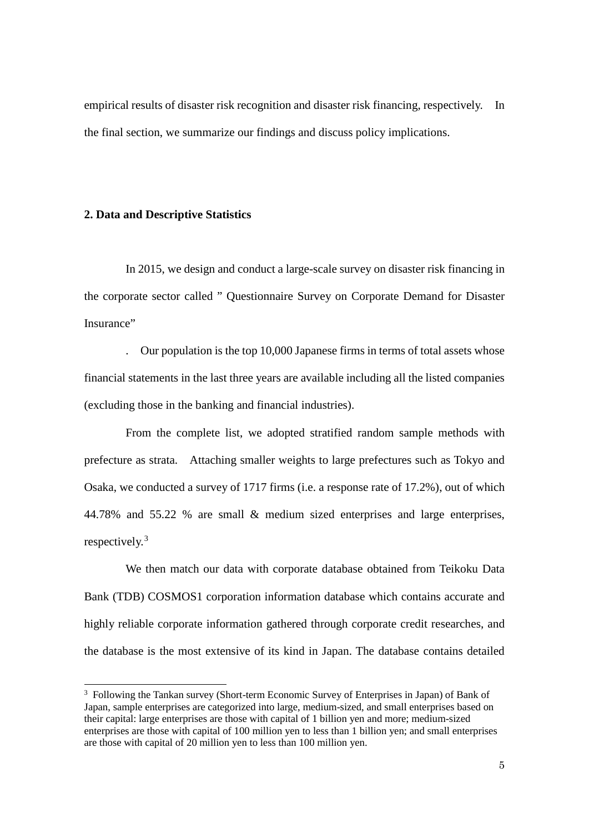empirical results of disaster risk recognition and disaster risk financing, respectively. In the final section, we summarize our findings and discuss policy implications.

#### **2. Data and Descriptive Statistics**

1

In 2015, we design and conduct a large-scale survey on disaster risk financing in the corporate sector called " Questionnaire Survey on Corporate Demand for Disaster Insurance"

. Our population is the top 10,000 Japanese firms in terms of total assets whose financial statements in the last three years are available including all the listed companies (excluding those in the banking and financial industries).

From the complete list, we adopted stratified random sample methods with prefecture as strata. Attaching smaller weights to large prefectures such as Tokyo and Osaka, we conducted a survey of 1717 firms (i.e. a response rate of 17.2%), out of which 44.78% and 55.22 % are small & medium sized enterprises and large enterprises, respectively.<sup>[3](#page-5-0)</sup>

We then match our data with corporate database obtained from Teikoku Data Bank (TDB) COSMOS1 corporation information database which contains accurate and highly reliable corporate information gathered through corporate credit researches, and the database is the most extensive of its kind in Japan. The database contains detailed

<span id="page-5-0"></span><sup>&</sup>lt;sup>3</sup> Following the Tankan survey (Short-term Economic Survey of Enterprises in Japan) of Bank of Japan, sample enterprises are categorized into large, medium-sized, and small enterprises based on their capital: large enterprises are those with capital of 1 billion yen and more; medium-sized enterprises are those with capital of 100 million yen to less than 1 billion yen; and small enterprises are those with capital of 20 million yen to less than 100 million yen.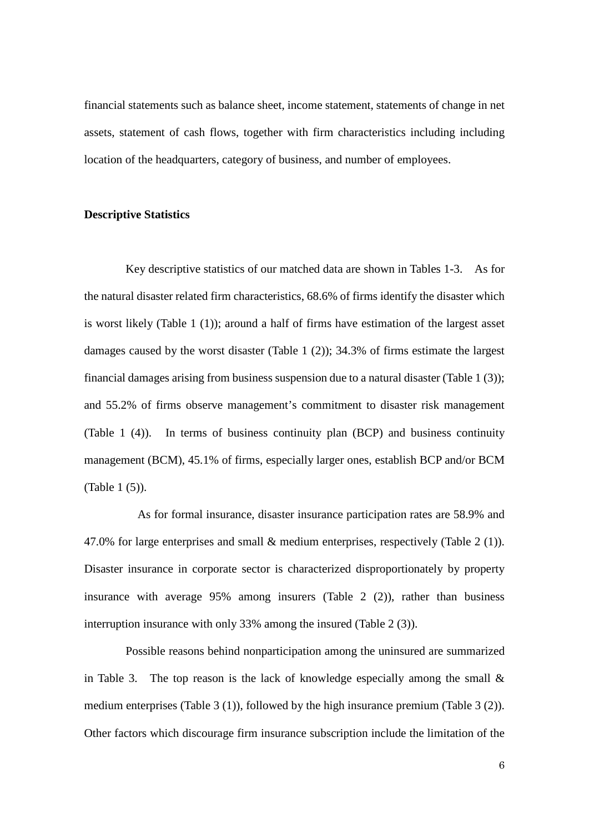financial statements such as balance sheet, income statement, statements of change in net assets, statement of cash flows, together with firm characteristics including including location of the headquarters, category of business, and number of employees.

#### **Descriptive Statistics**

Key descriptive statistics of our matched data are shown in Tables 1-3. As for the natural disaster related firm characteristics, 68.6% of firms identify the disaster which is worst likely (Table 1 (1)); around a half of firms have estimation of the largest asset damages caused by the worst disaster (Table 1 (2)); 34.3% of firms estimate the largest financial damages arising from business suspension due to a natural disaster (Table 1 (3)); and 55.2% of firms observe management's commitment to disaster risk management (Table 1 (4)). In terms of business continuity plan (BCP) and business continuity management (BCM), 45.1% of firms, especially larger ones, establish BCP and/or BCM (Table 1 (5)).

 As for formal insurance, disaster insurance participation rates are 58.9% and 47.0% for large enterprises and small & medium enterprises, respectively (Table 2 (1)). Disaster insurance in corporate sector is characterized disproportionately by property insurance with average 95% among insurers (Table 2 (2)), rather than business interruption insurance with only 33% among the insured (Table 2 (3)).

Possible reasons behind nonparticipation among the uninsured are summarized in Table 3. The top reason is the lack of knowledge especially among the small  $\&$ medium enterprises (Table 3 (1)), followed by the high insurance premium (Table 3 (2)). Other factors which discourage firm insurance subscription include the limitation of the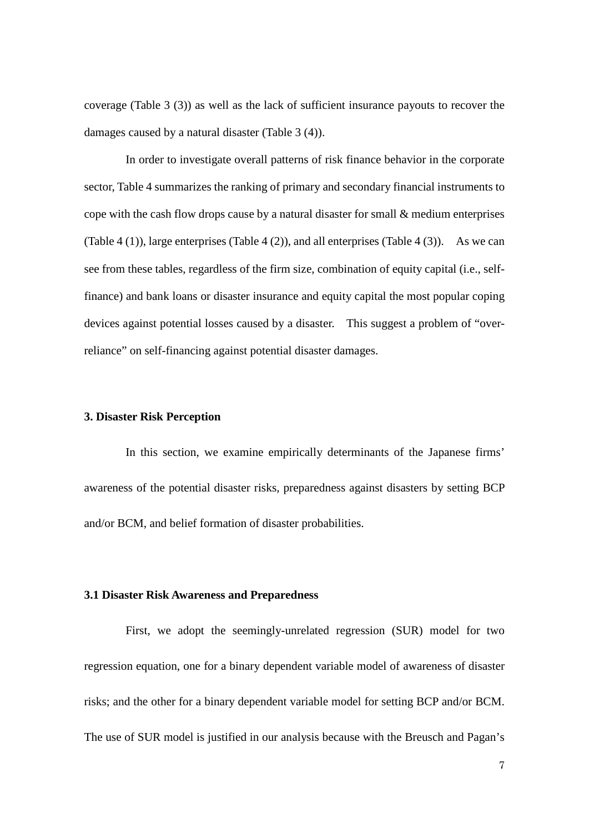coverage (Table 3 (3)) as well as the lack of sufficient insurance payouts to recover the damages caused by a natural disaster (Table 3 (4)).

In order to investigate overall patterns of risk finance behavior in the corporate sector, Table 4 summarizes the ranking of primary and secondary financial instruments to cope with the cash flow drops cause by a natural disaster for small & medium enterprises (Table 4 (1)), large enterprises (Table 4 (2)), and all enterprises (Table 4 (3)). As we can see from these tables, regardless of the firm size, combination of equity capital (i.e., selffinance) and bank loans or disaster insurance and equity capital the most popular coping devices against potential losses caused by a disaster. This suggest a problem of "overreliance" on self-financing against potential disaster damages.

#### **3. Disaster Risk Perception**

In this section, we examine empirically determinants of the Japanese firms' awareness of the potential disaster risks, preparedness against disasters by setting BCP and/or BCM, and belief formation of disaster probabilities.

#### **3.1 Disaster Risk Awareness and Preparedness**

First, we adopt the seemingly-unrelated regression (SUR) model for two regression equation, one for a binary dependent variable model of awareness of disaster risks; and the other for a binary dependent variable model for setting BCP and/or BCM. The use of SUR model is justified in our analysis because with the Breusch and Pagan's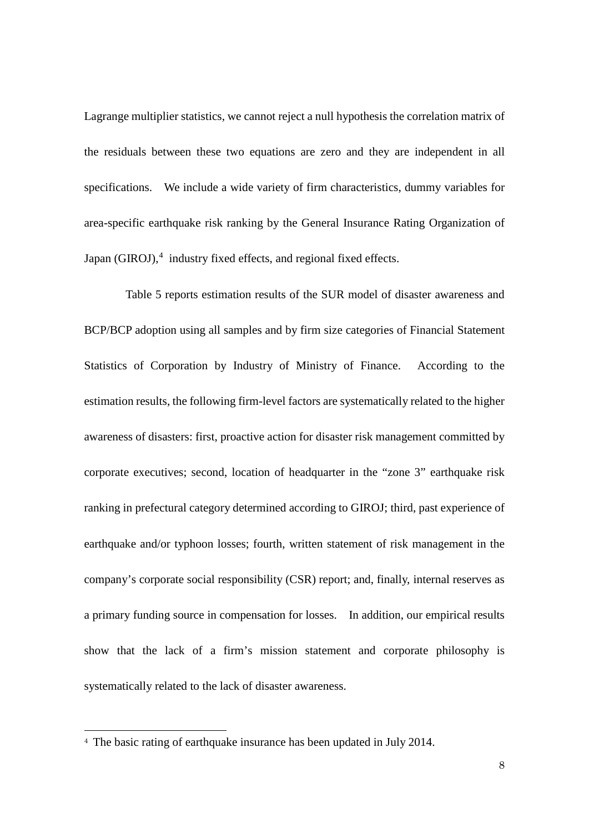Lagrange multiplier statistics, we cannot reject a null hypothesis the correlation matrix of the residuals between these two equations are zero and they are independent in all specifications. We include a wide variety of firm characteristics, dummy variables for area-specific earthquake risk ranking by the General Insurance Rating Organization of Japan (GIROJ),<sup>[4](#page-8-0)</sup> industry fixed effects, and regional fixed effects.

Table 5 reports estimation results of the SUR model of disaster awareness and BCP/BCP adoption using all samples and by firm size categories of Financial Statement Statistics of Corporation by Industry of Ministry of Finance. According to the estimation results, the following firm-level factors are systematically related to the higher awareness of disasters: first, proactive action for disaster risk management committed by corporate executives; second, location of headquarter in the "zone 3" earthquake risk ranking in prefectural category determined according to GIROJ; third, past experience of earthquake and/or typhoon losses; fourth, written statement of risk management in the company's corporate social responsibility (CSR) report; and, finally, internal reserves as a primary funding source in compensation for losses. In addition, our empirical results show that the lack of a firm's mission statement and corporate philosophy is systematically related to the lack of disaster awareness.

1

<span id="page-8-0"></span><sup>4</sup> The basic rating of earthquake insurance has been updated in July 2014.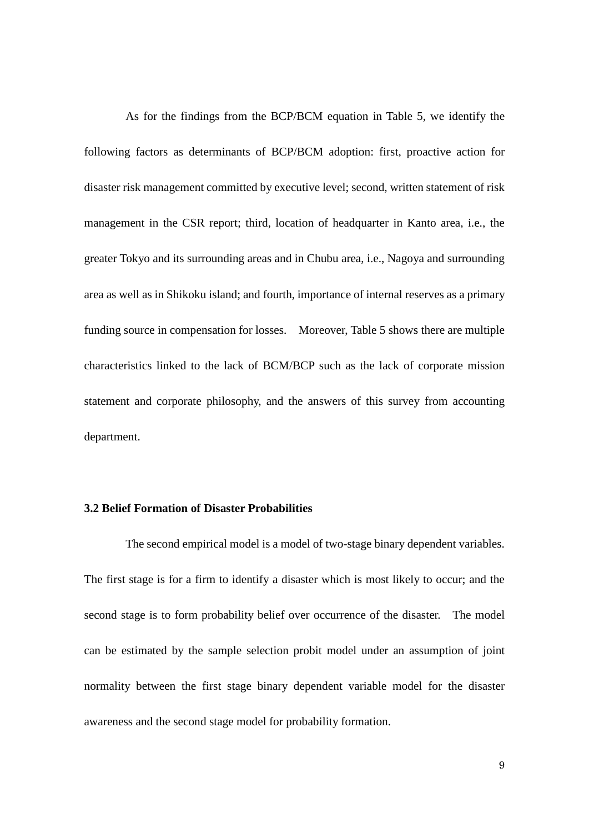As for the findings from the BCP/BCM equation in Table 5, we identify the following factors as determinants of BCP/BCM adoption: first, proactive action for disaster risk management committed by executive level; second, written statement of risk management in the CSR report; third, location of headquarter in Kanto area, i.e., the greater Tokyo and its surrounding areas and in Chubu area, i.e., Nagoya and surrounding area as well as in Shikoku island; and fourth, importance of internal reserves as a primary funding source in compensation for losses. Moreover, Table 5 shows there are multiple characteristics linked to the lack of BCM/BCP such as the lack of corporate mission statement and corporate philosophy, and the answers of this survey from accounting department.

### **3.2 Belief Formation of Disaster Probabilities**

The second empirical model is a model of two-stage binary dependent variables. The first stage is for a firm to identify a disaster which is most likely to occur; and the second stage is to form probability belief over occurrence of the disaster. The model can be estimated by the sample selection probit model under an assumption of joint normality between the first stage binary dependent variable model for the disaster awareness and the second stage model for probability formation.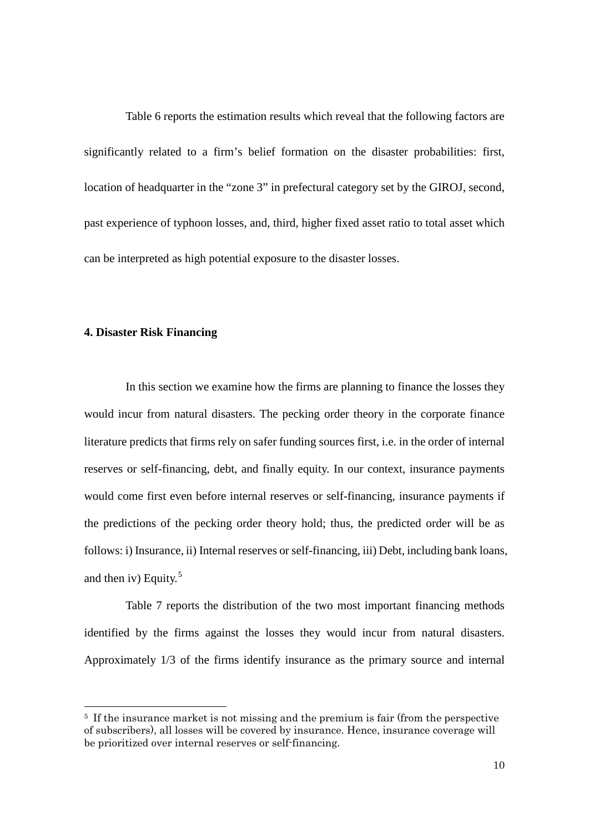Table 6 reports the estimation results which reveal that the following factors are significantly related to a firm's belief formation on the disaster probabilities: first, location of headquarter in the "zone 3" in prefectural category set by the GIROJ, second, past experience of typhoon losses, and, third, higher fixed asset ratio to total asset which can be interpreted as high potential exposure to the disaster losses.

#### **4. Disaster Risk Financing**

In this section we examine how the firms are planning to finance the losses they would incur from natural disasters. The pecking order theory in the corporate finance literature predicts that firms rely on safer funding sources first, i.e. in the order of internal reserves or self-financing, debt, and finally equity. In our context, insurance payments would come first even before internal reserves or self-financing, insurance payments if the predictions of the pecking order theory hold; thus, the predicted order will be as follows: i) Insurance, ii) Internal reserves or self-financing, iii) Debt, including bank loans, and then iv) Equity. $5$ 

Table 7 reports the distribution of the two most important financing methods identified by the firms against the losses they would incur from natural disasters. Approximately 1/3 of the firms identify insurance as the primary source and internal

<span id="page-10-0"></span><sup>&</sup>lt;sup>5</sup> If the insurance market is not missing and the premium is fair (from the perspective of subscribers), all losses will be covered by insurance. Hence, insurance coverage will be prioritized over internal reserves or self-financing.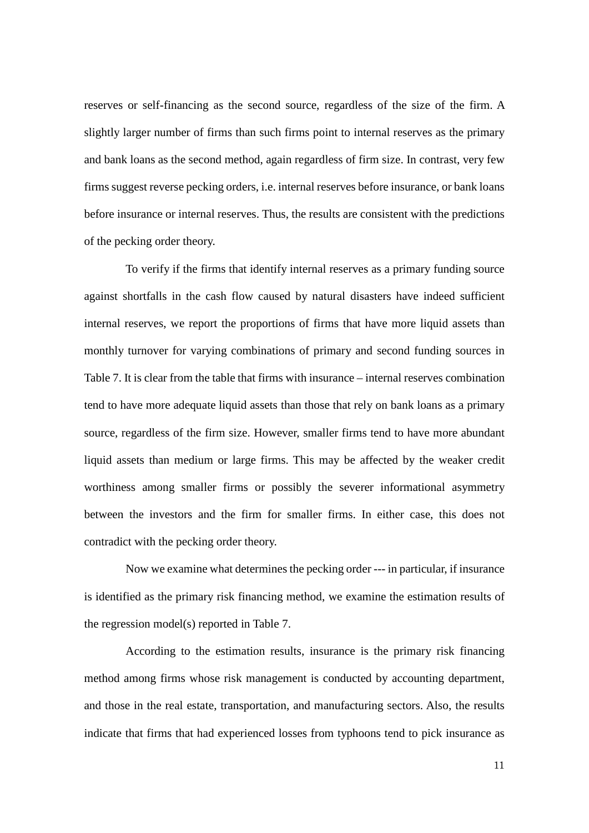reserves or self-financing as the second source, regardless of the size of the firm. A slightly larger number of firms than such firms point to internal reserves as the primary and bank loans as the second method, again regardless of firm size. In contrast, very few firms suggest reverse pecking orders, i.e. internal reserves before insurance, or bank loans before insurance or internal reserves. Thus, the results are consistent with the predictions of the pecking order theory.

To verify if the firms that identify internal reserves as a primary funding source against shortfalls in the cash flow caused by natural disasters have indeed sufficient internal reserves, we report the proportions of firms that have more liquid assets than monthly turnover for varying combinations of primary and second funding sources in Table 7. It is clear from the table that firms with insurance – internal reserves combination tend to have more adequate liquid assets than those that rely on bank loans as a primary source, regardless of the firm size. However, smaller firms tend to have more abundant liquid assets than medium or large firms. This may be affected by the weaker credit worthiness among smaller firms or possibly the severer informational asymmetry between the investors and the firm for smaller firms. In either case, this does not contradict with the pecking order theory.

Now we examine what determines the pecking order --- in particular, if insurance is identified as the primary risk financing method, we examine the estimation results of the regression model(s) reported in Table 7.

According to the estimation results, insurance is the primary risk financing method among firms whose risk management is conducted by accounting department, and those in the real estate, transportation, and manufacturing sectors. Also, the results indicate that firms that had experienced losses from typhoons tend to pick insurance as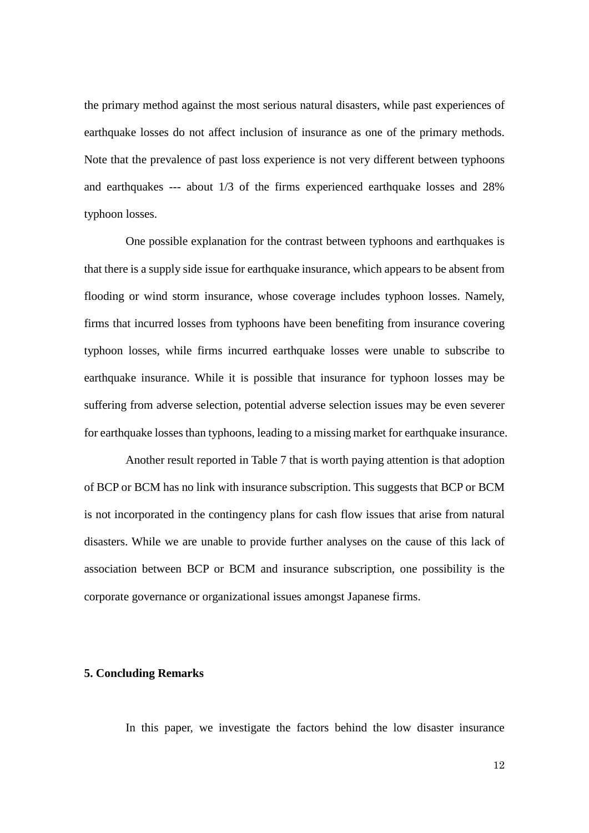the primary method against the most serious natural disasters, while past experiences of earthquake losses do not affect inclusion of insurance as one of the primary methods. Note that the prevalence of past loss experience is not very different between typhoons and earthquakes --- about 1/3 of the firms experienced earthquake losses and 28% typhoon losses.

One possible explanation for the contrast between typhoons and earthquakes is that there is a supply side issue for earthquake insurance, which appears to be absent from flooding or wind storm insurance, whose coverage includes typhoon losses. Namely, firms that incurred losses from typhoons have been benefiting from insurance covering typhoon losses, while firms incurred earthquake losses were unable to subscribe to earthquake insurance. While it is possible that insurance for typhoon losses may be suffering from adverse selection, potential adverse selection issues may be even severer for earthquake losses than typhoons, leading to a missing market for earthquake insurance.

Another result reported in Table 7 that is worth paying attention is that adoption of BCP or BCM has no link with insurance subscription. This suggests that BCP or BCM is not incorporated in the contingency plans for cash flow issues that arise from natural disasters. While we are unable to provide further analyses on the cause of this lack of association between BCP or BCM and insurance subscription, one possibility is the corporate governance or organizational issues amongst Japanese firms.

#### **5. Concluding Remarks**

In this paper, we investigate the factors behind the low disaster insurance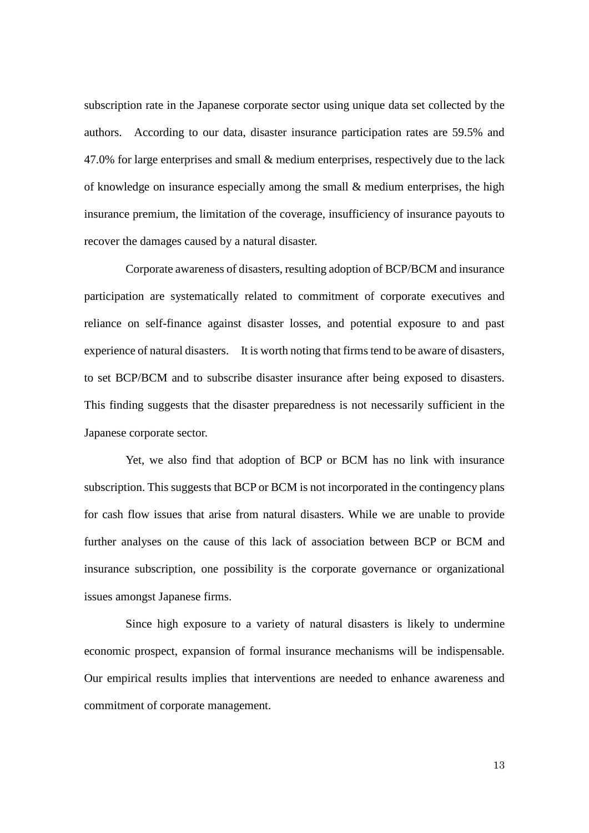subscription rate in the Japanese corporate sector using unique data set collected by the authors. According to our data, disaster insurance participation rates are 59.5% and 47.0% for large enterprises and small & medium enterprises, respectively due to the lack of knowledge on insurance especially among the small & medium enterprises, the high insurance premium, the limitation of the coverage, insufficiency of insurance payouts to recover the damages caused by a natural disaster.

Corporate awareness of disasters, resulting adoption of BCP/BCM and insurance participation are systematically related to commitment of corporate executives and reliance on self-finance against disaster losses, and potential exposure to and past experience of natural disasters. It is worth noting that firms tend to be aware of disasters, to set BCP/BCM and to subscribe disaster insurance after being exposed to disasters. This finding suggests that the disaster preparedness is not necessarily sufficient in the Japanese corporate sector.

Yet, we also find that adoption of BCP or BCM has no link with insurance subscription. This suggests that BCP or BCM is not incorporated in the contingency plans for cash flow issues that arise from natural disasters. While we are unable to provide further analyses on the cause of this lack of association between BCP or BCM and insurance subscription, one possibility is the corporate governance or organizational issues amongst Japanese firms.

Since high exposure to a variety of natural disasters is likely to undermine economic prospect, expansion of formal insurance mechanisms will be indispensable. Our empirical results implies that interventions are needed to enhance awareness and commitment of corporate management.

13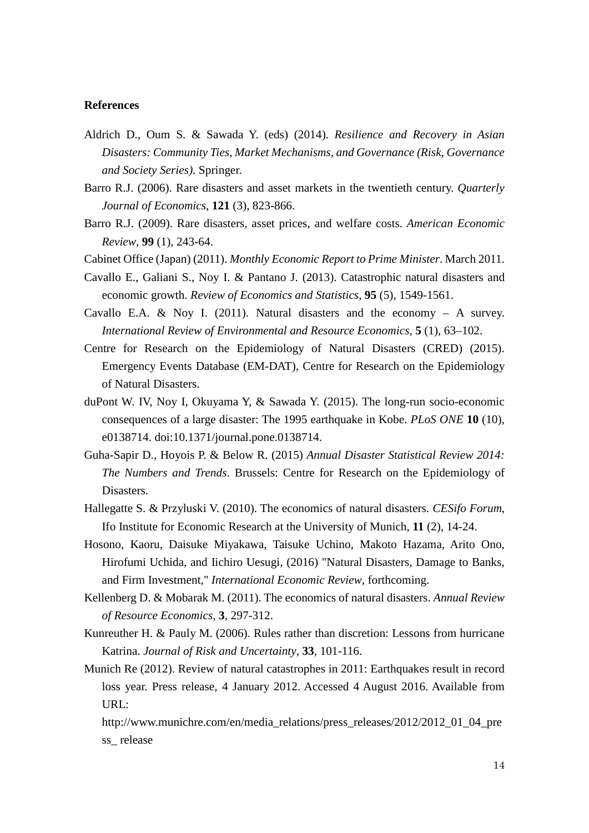#### **References**

- Aldrich D., Oum S. & Sawada Y. (eds) (2014). *Resilience and Recovery in Asian Disasters: Community Ties, Market Mechanisms, and Governance (Risk, Governance and Society Series)*. Springer.
- Barro R.J. (2006). Rare disasters and asset markets in the twentieth century. *Quarterly Journal of Economics*, **121** (3), 823-866.
- Barro R.J. (2009). Rare disasters, asset prices, and welfare costs. *American Economic Review*, **99** (1), 243-64.
- Cabinet Office (Japan) (2011). *Monthly Economic Report to Prime Minister*. March 2011.
- Cavallo E., Galiani S., Noy I. & Pantano J. (2013). Catastrophic natural disasters and economic growth. *Review of Economics and Statistics*, **95** (5), 1549-1561.
- Cavallo E.A. & Noy I. (2011). Natural disasters and the economy  $-$  A survey. *International Review of Environmental and Resource Economics*, **5** (1), 63–102.
- Centre for Research on the Epidemiology of Natural Disasters (CRED) (2015). Emergency Events Database (EM-DAT), Centre for Research on the Epidemiology of Natural Disasters.
- duPont W. IV, Noy I, Okuyama Y, & Sawada Y. (2015). The long-run socio-economic consequences of a large disaster: The 1995 earthquake in Kobe. *PLoS ONE* **10** (10), e0138714. doi:10.1371/journal.pone.0138714.
- Guha-Sapir D., Hoyois P. & Below R. (2015) *Annual Disaster Statistical Review 2014: The Numbers and Trends*. Brussels: Centre for Research on the Epidemiology of Disasters.
- Hallegatte S. & Przyluski V. (2010). The economics of natural disasters. *CESifo Forum*, Ifo Institute for Economic Research at the University of Munich, **11** (2), 14-24.
- Hosono, Kaoru, Daisuke Miyakawa, Taisuke Uchino, Makoto Hazama, Arito Ono, Hirofumi Uchida, and Iichiro Uesugi, (2016) "Natural Disasters, Damage to Banks, and Firm Investment," *International Economic Review*, forthcoming.
- Kellenberg D. & Mobarak M. (2011). The economics of natural disasters. *Annual Review of Resource Economics*, **3**, 297-312.
- Kunreuther H. & Pauly M. (2006). Rules rather than discretion: Lessons from hurricane Katrina. *Journal of Risk and Uncertainty*, **33**, 101-116.
- Munich Re (2012). Review of natural catastrophes in 2011: Earthquakes result in record loss year. Press release, 4 January 2012. Accessed 4 August 2016. Available from URL:

http://www.munichre.com/en/media\_relations/press\_releases/2012/2012\_01\_04\_pre ss\_ release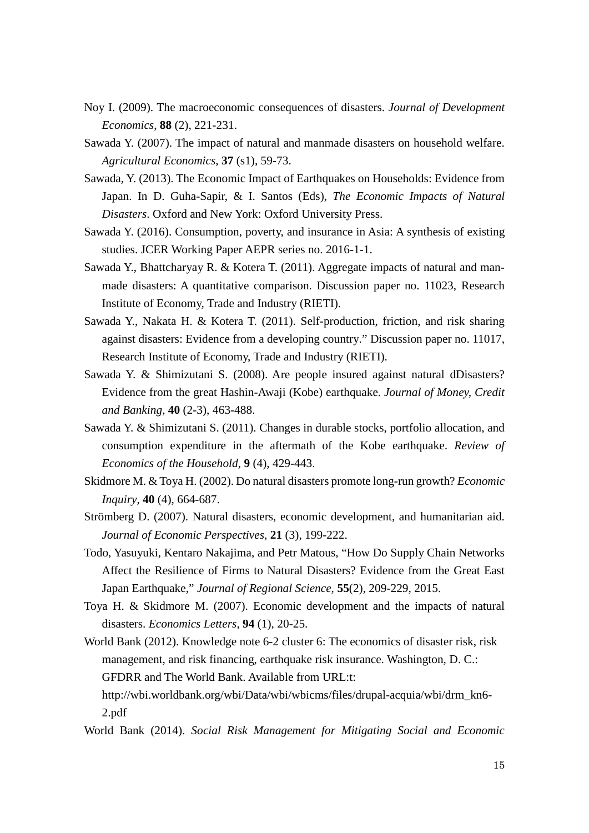- Noy I. (2009). The macroeconomic consequences of disasters. *Journal of Development Economics*, **88** (2), 221-231.
- Sawada Y. (2007). The impact of natural and manmade disasters on household welfare. *Agricultural Economics*, **37** (s1), 59-73.
- Sawada, Y. (2013). The Economic Impact of Earthquakes on Households: Evidence from Japan. In D. Guha-Sapir, & I. Santos (Eds), *The Economic Impacts of Natural Disasters*. Oxford and New York: Oxford University Press.
- Sawada Y. (2016). Consumption, poverty, and insurance in Asia: A synthesis of existing studies. JCER Working Paper AEPR series no. 2016-1-1.
- Sawada Y., Bhattcharyay R. & Kotera T. (2011). Aggregate impacts of natural and manmade disasters: A quantitative comparison. Discussion paper no. 11023, Research Institute of Economy, Trade and Industry (RIETI).
- Sawada Y., Nakata H. & Kotera T. (2011). Self-production, friction, and risk sharing against disasters: Evidence from a developing country." Discussion paper no. 11017, Research Institute of Economy, Trade and Industry (RIETI).
- Sawada Y. & Shimizutani S. (2008). Are people insured against natural dDisasters? Evidence from the great Hashin-Awaji (Kobe) earthquake. *Journal of Money, Credit and Banking*, **40** (2-3), 463-488.
- Sawada Y. & Shimizutani S. (2011). Changes in durable stocks, portfolio allocation, and consumption expenditure in the aftermath of the Kobe earthquake. *Review of Economics of the Household*, **9** (4), 429-443.
- Skidmore M. & Toya H. (2002). Do natural disasters promote long-run growth? *Economic Inquiry*, **40** (4), 664-687.
- Strömberg D. (2007). Natural disasters, economic development, and humanitarian aid. *Journal of Economic Perspectives*, **21** (3), 199-222.
- Todo, Yasuyuki, Kentaro Nakajima, and Petr Matous, "How Do Supply Chain Networks Affect the Resilience of Firms to Natural Disasters? Evidence from the Great East Japan Earthquake," *Journal of Regional Science*, **55**(2), 209-229, 2015.
- Toya H. & Skidmore M. (2007). Economic development and the impacts of natural disasters. *Economics Letters*, **94** (1), 20-25.
- World Bank (2012). Knowledge note 6-2 cluster 6: The economics of disaster risk, risk management, and risk financing, earthquake risk insurance. Washington, D. C.: GFDRR and The World Bank. Available from URL:t:
	- [http://wbi.worldbank.org/wbi/Data/wbi/wbicms/files/drupal-acquia/wbi/drm\\_kn6-](http://wbi.worldbank.org/wbi/Data/wbi/wbicms/files/drupal-acquia/wbi/drm_kn6-2.pdf) [2.pdf](http://wbi.worldbank.org/wbi/Data/wbi/wbicms/files/drupal-acquia/wbi/drm_kn6-2.pdf)
- World Bank (2014). *Social Risk Management for Mitigating Social and Economic*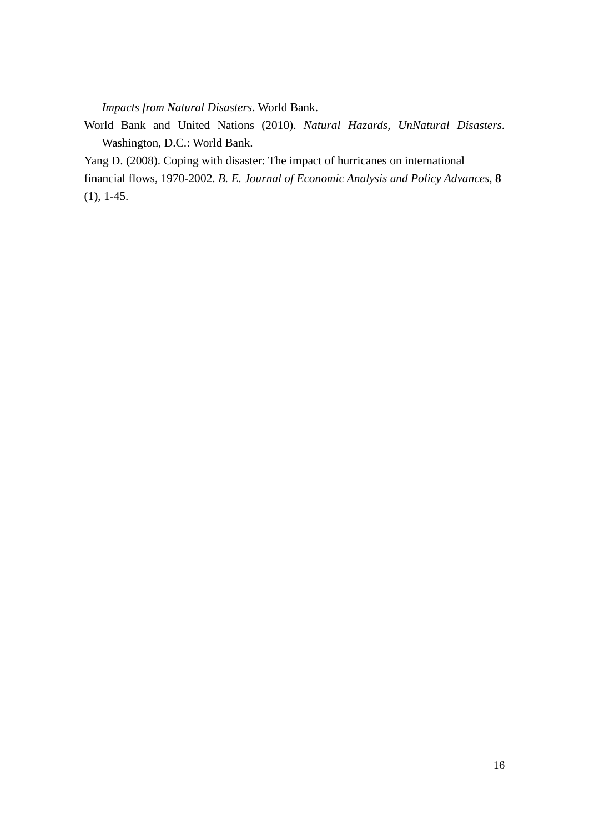*Impacts from Natural Disasters*. World Bank.

World Bank and United Nations (2010). *Natural Hazards, UnNatural Disasters*. Washington, D.C.: World Bank.

Yang D. (2008). Coping with disaster: The impact of hurricanes on international

financial flows, 1970-2002. *B. E. Journal of Economic Analysis and Policy Advances*, **8** (1), 1-45.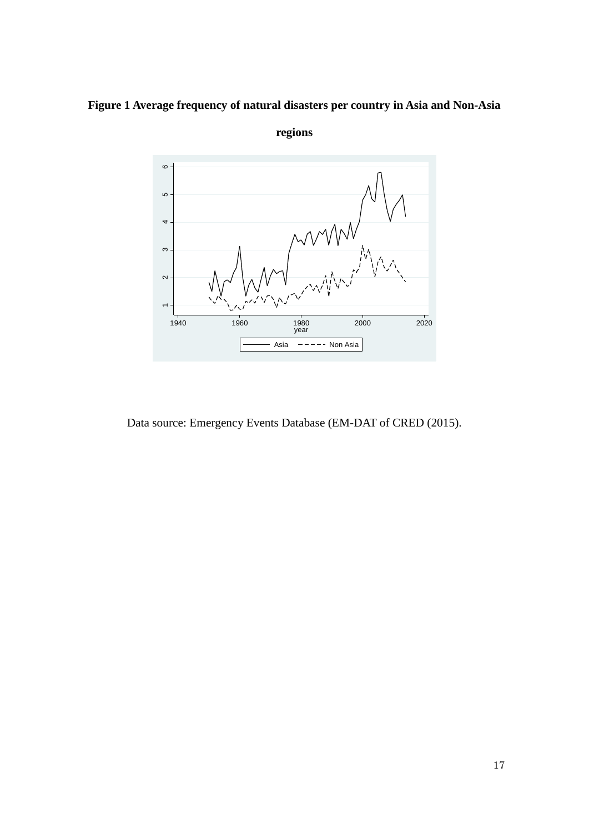



**regions**

Data source: Emergency Events Database (EM-DAT of CRED (2015).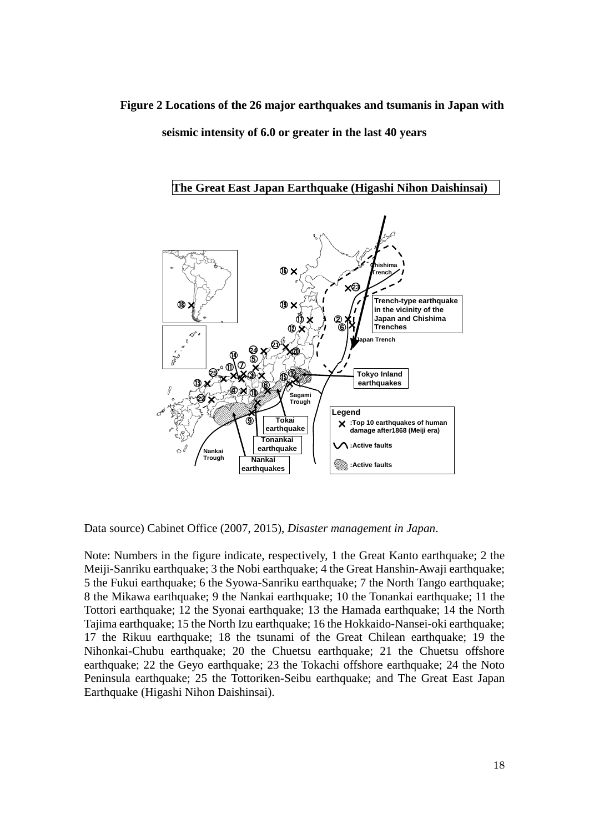**Figure 2 Locations of the 26 major earthquakes and tsumanis in Japan with seismic intensity of 6.0 or greater in the last 40 years**



Data source) Cabinet Office (2007, 2015), *Disaster management in Japan*.

Note: Numbers in the figure indicate, respectively, 1 the Great Kanto earthquake; 2 the Meiji-Sanriku earthquake; 3 the Nobi earthquake; 4 the Great Hanshin-Awaji earthquake; 5 the Fukui earthquake; 6 the Syowa-Sanriku earthquake; 7 the North Tango earthquake; 8 the Mikawa earthquake; 9 the Nankai earthquake; 10 the Tonankai earthquake; 11 the Tottori earthquake; 12 the Syonai earthquake; 13 the Hamada earthquake; 14 the North Tajima earthquake; 15 the North Izu earthquake; 16 the Hokkaido-Nansei-oki earthquake; 17 the Rikuu earthquake; 18 the tsunami of the Great Chilean earthquake; 19 the Nihonkai-Chubu earthquake; 20 the Chuetsu earthquake; 21 the Chuetsu offshore earthquake; 22 the Geyo earthquake; 23 the Tokachi offshore earthquake; 24 the Noto Peninsula earthquake; 25 the Tottoriken-Seibu earthquake; and The Great East Japan Earthquake (Higashi Nihon Daishinsai).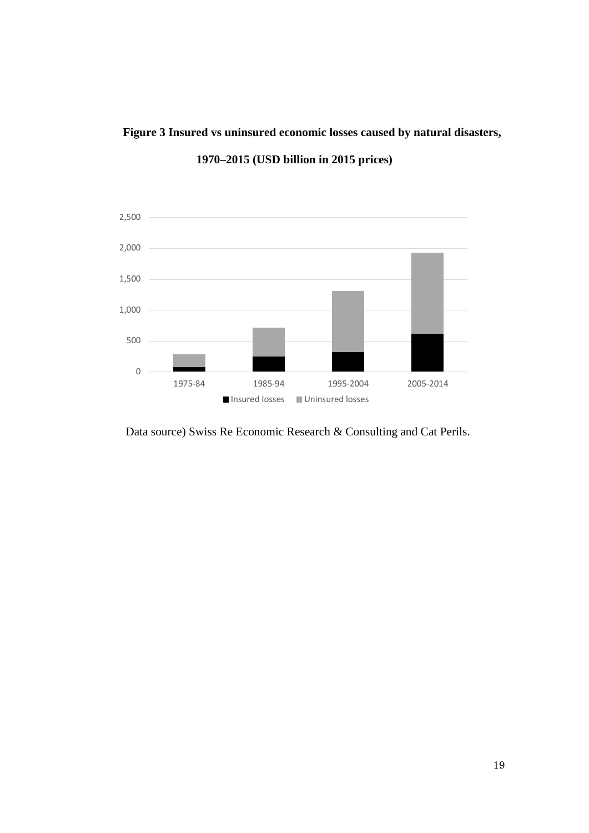# **Figure 3 Insured vs uninsured economic losses caused by natural disasters,**



**1970–2015 (USD billion in 2015 prices)**

Data source) Swiss Re Economic Research & Consulting and Cat Perils.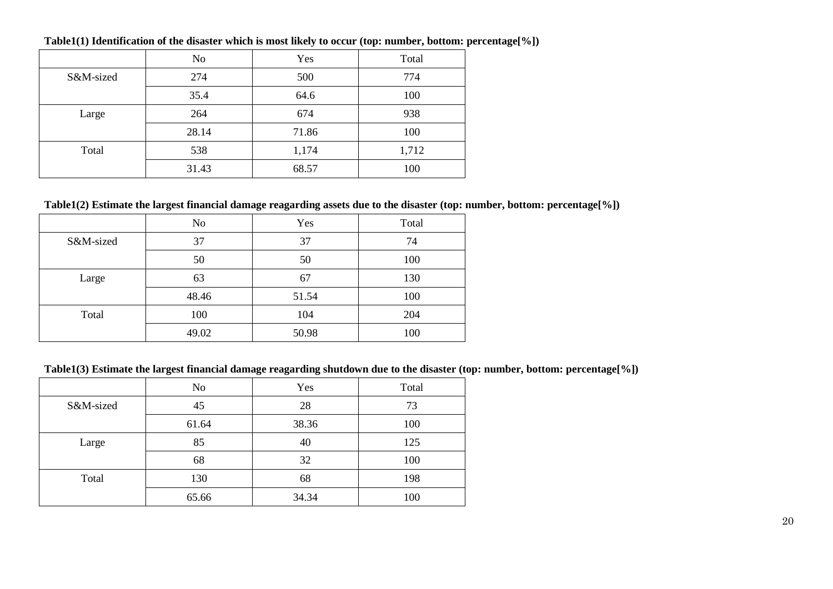|           | N <sub>o</sub> | Yes   | Total |
|-----------|----------------|-------|-------|
| S&M-sized | 274            | 500   | 774   |
|           | 35.4           | 64.6  | 100   |
| Large     | 264            | 674   | 938   |
|           | 28.14          | 71.86 | 100   |
| Total     | 538            | 1,174 | 1,712 |
|           | 31.43          | 68.57 | 100   |

**Table1(1) Identification of the disaster which is most likely to occur (top: number, bottom: percentage[%])**

## **Table1(2) Estimate the largest financial damage reagarding assets due to the disaster (top: number, bottom: percentage[%])**

|           | N <sub>o</sub> | Yes   | Total |
|-----------|----------------|-------|-------|
| S&M-sized | 37             | 37    | 74    |
|           | 50             | 50    | 100   |
| Large     | 63             | 67    | 130   |
|           | 48.46          | 51.54 | 100   |
| Total     | 100            | 104   | 204   |
|           | 49.02          | 50.98 | 100   |

# **Table1(3) Estimate the largest financial damage reagarding shutdown due to the disaster (top: number, bottom: percentage[%])**

|           | N <sub>o</sub> | Yes   | Total |
|-----------|----------------|-------|-------|
| S&M-sized | 45             | 28    | 73    |
|           | 61.64          | 38.36 | 100   |
| Large     | 85             | 40    | 125   |
|           | 68             | 32    | 100   |
| Total     | 130            | 68    | 198   |
|           | 65.66          | 34.34 | 100   |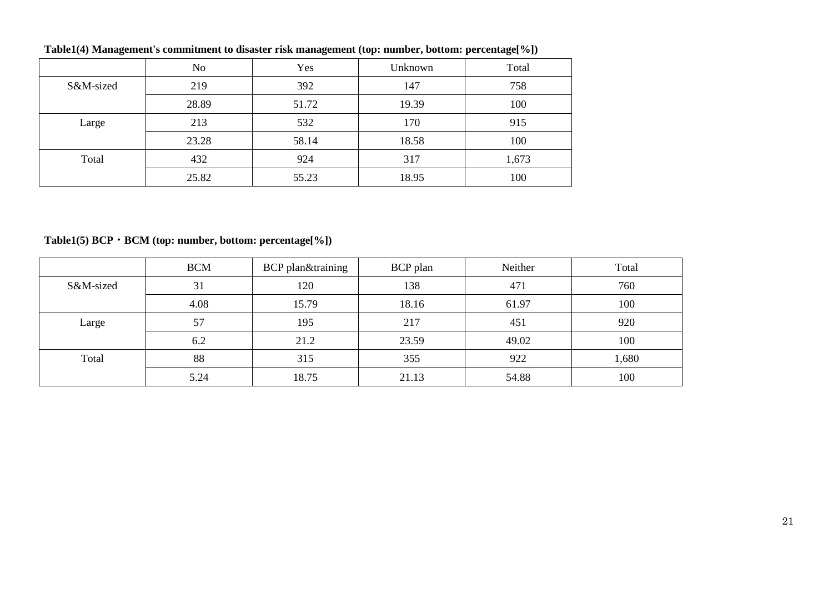|           | No    | Yes   | Unknown | Total |
|-----------|-------|-------|---------|-------|
| S&M-sized | 219   | 392   | 147     | 758   |
|           | 28.89 | 51.72 | 19.39   | 100   |
| Large     | 213   | 532   | 170     | 915   |
|           | 23.28 | 58.14 | 18.58   | 100   |
| Total     | 432   | 924   | 317     | 1,673 |
|           | 25.82 | 55.23 | 18.95   | 100   |

**Table1(4) Management's commitment to disaster risk management (top: number, bottom: percentage[%])**

**Table1(5) BCP・BCM (top: number, bottom: percentage[%])**

|           | <b>BCM</b> | BCP plan&training | BCP plan | Neither | Total |
|-----------|------------|-------------------|----------|---------|-------|
| S&M-sized | 31         | 120               | 138      | 471     | 760   |
|           | 4.08       | 15.79             | 18.16    | 61.97   | 100   |
| Large     | 57         | 195               | 217      | 451     | 920   |
|           | 6.2        | 21.2              | 23.59    | 49.02   | 100   |
| Total     | 88         | 315               | 355      | 922     | 1,680 |
|           | 5.24       | 18.75             | 21.13    | 54.88   | 100   |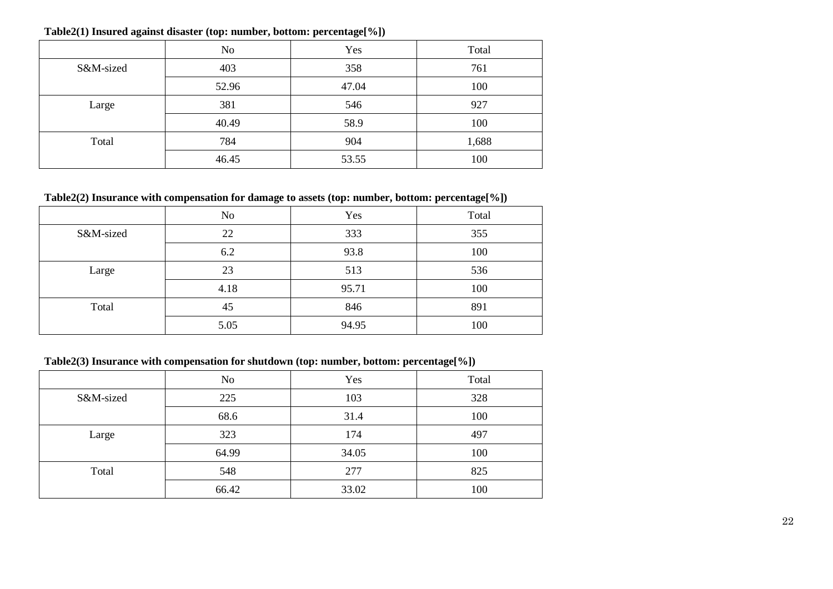|           | No    | Yes   | Total |
|-----------|-------|-------|-------|
| S&M-sized | 403   | 358   | 761   |
|           | 52.96 | 47.04 | 100   |
| Large     | 381   | 546   | 927   |
|           | 40.49 | 58.9  | 100   |
| Total     | 784   | 904   | 1,688 |
|           | 46.45 | 53.55 | 100   |

**Table2(1) Insured against disaster (top: number, bottom: percentage[%])**

# **Table2(2) Insurance with compensation for damage to assets (top: number, bottom: percentage[%])**

|           | No   | Yes   | Total |
|-----------|------|-------|-------|
| S&M-sized | 22   | 333   | 355   |
|           | 6.2  | 93.8  | 100   |
| Large     | 23   | 513   | 536   |
|           | 4.18 | 95.71 | 100   |
| Total     | 45   | 846   | 891   |
|           | 5.05 | 94.95 | 100   |

### **Table2(3) Insurance with compensation for shutdown (top: number, bottom: percentage[%])**

|           | N <sub>o</sub> | Yes   | Total |
|-----------|----------------|-------|-------|
| S&M-sized | 225            | 103   | 328   |
|           | 68.6           | 31.4  | 100   |
| Large     | 323            | 174   | 497   |
|           | 64.99          | 34.05 | 100   |
| Total     | 548            | 277   | 825   |
|           | 66.42          | 33.02 | 100   |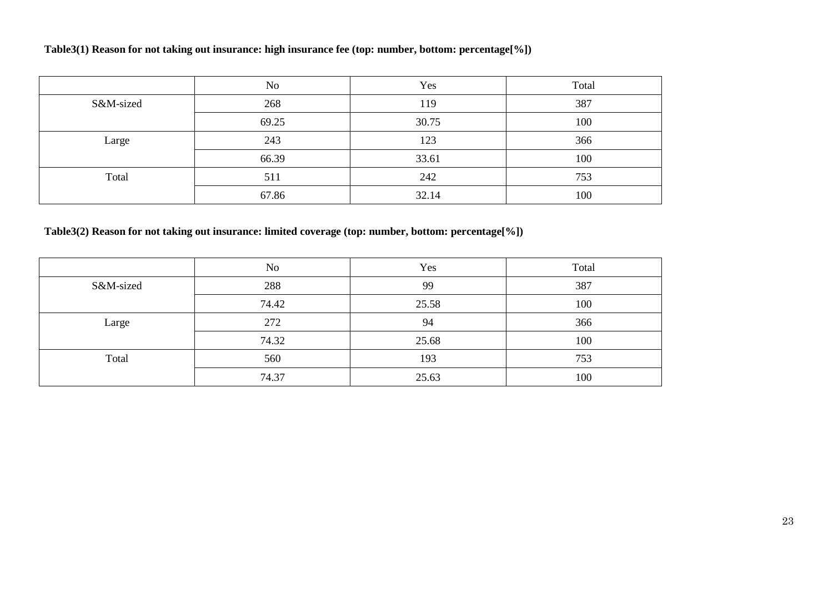# **Table3(1) Reason for not taking out insurance: high insurance fee (top: number, bottom: percentage[%])**

|           | N <sub>0</sub> | Yes   | Total |
|-----------|----------------|-------|-------|
| S&M-sized | 268            | 119   | 387   |
|           | 69.25          | 30.75 | 100   |
| Large     | 243            | 123   | 366   |
|           | 66.39          | 33.61 | 100   |
| Total     | 511            | 242   | 753   |
|           | 67.86          | 32.14 | 100   |

**Table3(2) Reason for not taking out insurance: limited coverage (top: number, bottom: percentage[%])**

|           | N <sub>0</sub> | Yes   | Total |
|-----------|----------------|-------|-------|
| S&M-sized | 288            | 99    | 387   |
|           | 74.42          | 25.58 | 100   |
| Large     | 272            | 94    | 366   |
|           | 74.32          | 25.68 | 100   |
| Total     | 560            | 193   | 753   |
|           | 74.37          | 25.63 | 100   |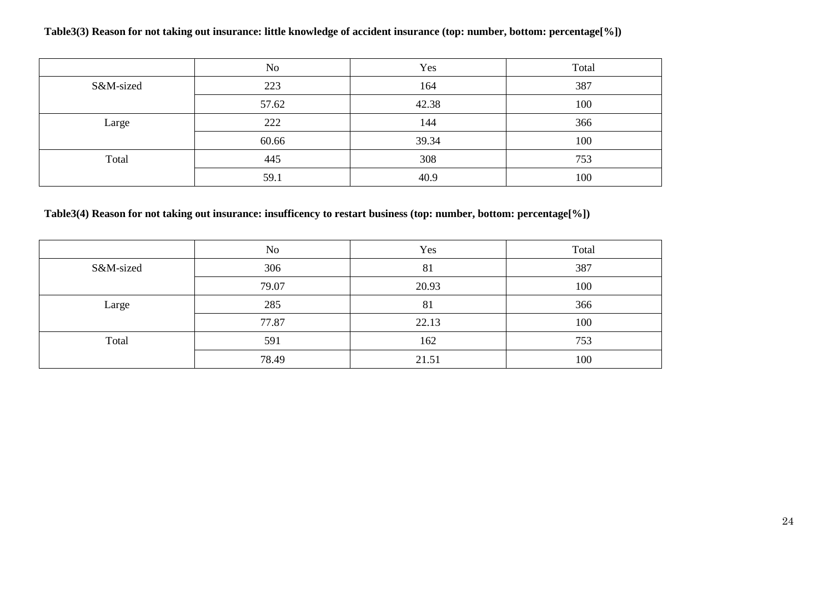### **Table3(3) Reason for not taking out insurance: little knowledge of accident insurance (top: number, bottom: percentage[%])**

|           | No    | Yes   | Total |
|-----------|-------|-------|-------|
| S&M-sized | 223   | 164   | 387   |
|           | 57.62 | 42.38 | 100   |
| Large     | 222   | 144   | 366   |
|           | 60.66 | 39.34 | 100   |
| Total     | 445   | 308   | 753   |
|           | 59.1  | 40.9  | 100   |

# **Table3(4) Reason for not taking out insurance: insufficency to restart business (top: number, bottom: percentage[%])**

|           | No    | Yes   | Total |
|-----------|-------|-------|-------|
| S&M-sized | 306   | 81    | 387   |
|           | 79.07 | 20.93 | 100   |
| Large     | 285   | 81    | 366   |
|           | 77.87 | 22.13 | 100   |
| Total     | 591   | 162   | 753   |
|           | 78.49 | 21.51 | 100   |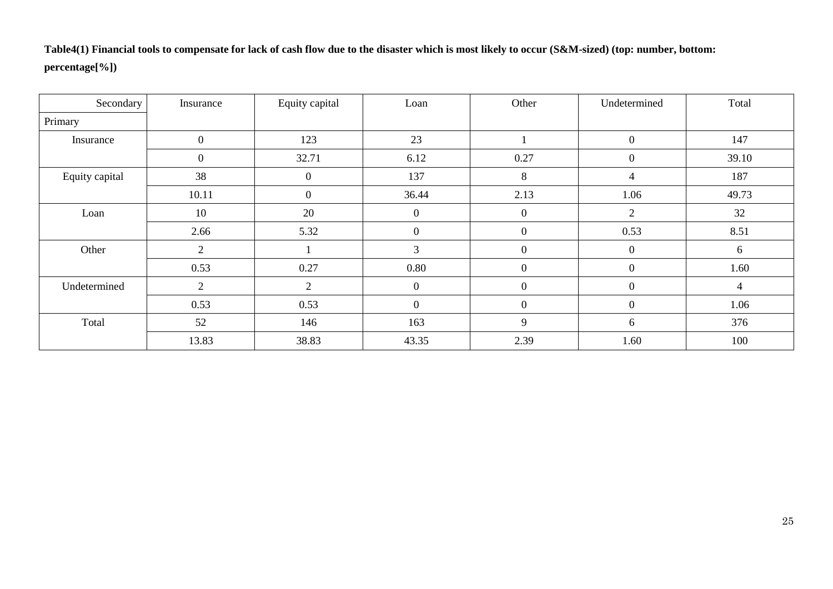**Table4(1) Financial tools to compensate for lack of cash flow due to the disaster which is most likely to occur (S&M-sized) (top: number, bottom: percentage[%])**

| Secondary      | Insurance        | Equity capital | Loan             | Other            | Undetermined     | Total |
|----------------|------------------|----------------|------------------|------------------|------------------|-------|
| Primary        |                  |                |                  |                  |                  |       |
| Insurance      | $\boldsymbol{0}$ | 123            | 23               |                  | $\boldsymbol{0}$ | 147   |
|                | $\boldsymbol{0}$ | 32.71          | 6.12             | 0.27             | $\mathbf{0}$     | 39.10 |
| Equity capital | 38               | $\overline{0}$ | 137              | 8                | 4                | 187   |
|                | 10.11            | $\overline{0}$ | 36.44            | 2.13             | 1.06             | 49.73 |
| Loan           | 10               | 20             | $\overline{0}$   | $\boldsymbol{0}$ | $\overline{2}$   | 32    |
|                | 2.66             | 5.32           | $\boldsymbol{0}$ | $\overline{0}$   | 0.53             | 8.51  |
| Other          | $\overline{2}$   |                | 3                | $\overline{0}$   | $\boldsymbol{0}$ | 6     |
|                | 0.53             | 0.27           | 0.80             | $\boldsymbol{0}$ | $\mathbf{0}$     | 1.60  |
| Undetermined   | $\overline{2}$   | 2              | $\theta$         | $\boldsymbol{0}$ | $\mathbf{0}$     | 4     |
|                | 0.53             | 0.53           | $\overline{0}$   | $\overline{0}$   | $\overline{0}$   | 1.06  |
| Total          | 52               | 146            | 163              | 9                | 6                | 376   |
|                | 13.83            | 38.83          | 43.35            | 2.39             | 1.60             | 100   |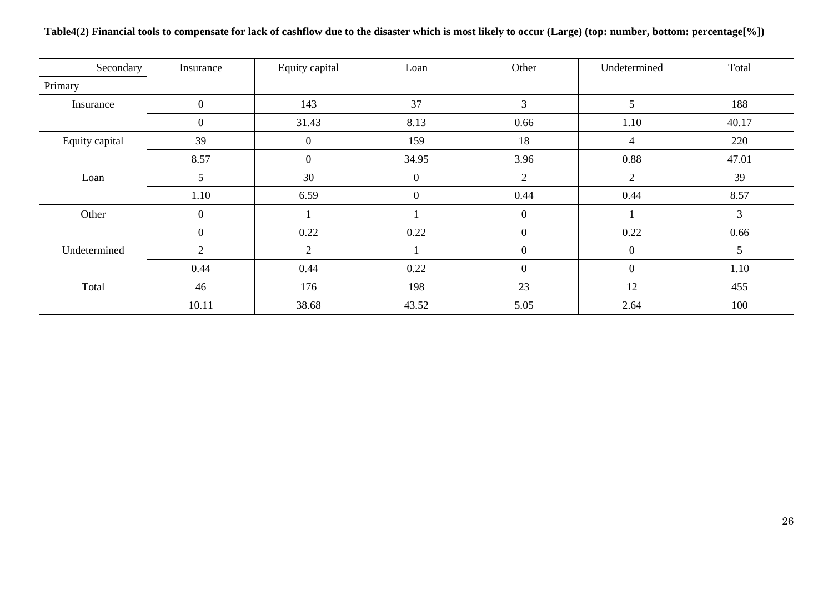| Secondary      | Insurance        | Equity capital | Loan           | Other          | Undetermined     | Total |
|----------------|------------------|----------------|----------------|----------------|------------------|-------|
| Primary        |                  |                |                |                |                  |       |
| Insurance      | $\overline{0}$   | 143            | 37             | $\mathfrak{Z}$ | 5                | 188   |
|                | $\boldsymbol{0}$ | 31.43          | 8.13           | 0.66           | 1.10             | 40.17 |
| Equity capital | 39               | $\overline{0}$ | 159            | 18             | 4                | 220   |
|                | 8.57             | $\overline{0}$ | 34.95          | 3.96           | 0.88             | 47.01 |
| Loan           | 5                | 30             | $\overline{0}$ | $\overline{2}$ | $\overline{2}$   | 39    |
|                | 1.10             | 6.59           | $\overline{0}$ | 0.44           | 0.44             | 8.57  |
| Other          | $\overline{0}$   |                |                | $\overline{0}$ |                  | 3     |
|                | $\overline{0}$   | 0.22           | 0.22           | $\overline{0}$ | 0.22             | 0.66  |
| Undetermined   | 2                | $\overline{2}$ |                | $\overline{0}$ | $\boldsymbol{0}$ | 5     |
|                | 0.44             | 0.44           | 0.22           | $\overline{0}$ | $\overline{0}$   | 1.10  |
| Total          | 46               | 176            | 198            | 23             | 12               | 455   |
|                | 10.11            | 38.68          | 43.52          | 5.05           | 2.64             | 100   |

**Table4(2) Financial tools to compensate for lack of cashflow due to the disaster which is most likely to occur (Large) (top: number, bottom: percentage[%])**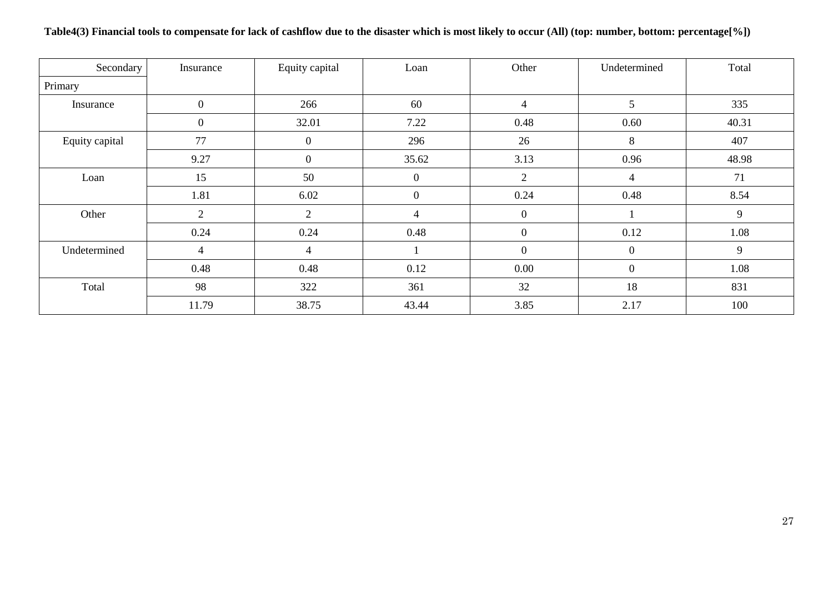| Secondary      | Insurance        | Equity capital   | Loan         | Other          | Undetermined   | Total |
|----------------|------------------|------------------|--------------|----------------|----------------|-------|
| Primary        |                  |                  |              |                |                |       |
| Insurance      | $\overline{0}$   | 266              | 60           | $\overline{4}$ | 5              | 335   |
|                | $\boldsymbol{0}$ | 32.01            | 7.22         | 0.48           | 0.60           | 40.31 |
| Equity capital | 77               | $\boldsymbol{0}$ | 296          | 26             | 8              | 407   |
|                | 9.27             | $\boldsymbol{0}$ | 35.62        | 3.13           | 0.96           | 48.98 |
| Loan           | 15               | 50               | $\mathbf{0}$ | $\mathfrak{2}$ | 4              | 71    |
|                | 1.81             | 6.02             | $\mathbf{0}$ | 0.24           | 0.48           | 8.54  |
| Other          | $\overline{2}$   | $\overline{2}$   | 4            | $\mathbf{0}$   |                | 9     |
|                | 0.24             | 0.24             | 0.48         | $\overline{0}$ | 0.12           | 1.08  |
| Undetermined   | 4                | $\overline{4}$   |              | $\mathbf{0}$   | $\overline{0}$ | 9     |
|                | 0.48             | 0.48             | 0.12         | 0.00           | $\overline{0}$ | 1.08  |
| Total          | 98               | 322              | 361          | 32             | 18             | 831   |
|                | 11.79            | 38.75            | 43.44        | 3.85           | 2.17           | 100   |

# **Table4(3) Financial tools to compensate for lack of cashflow due to the disaster which is most likely to occur (All) (top: number, bottom: percentage[%])**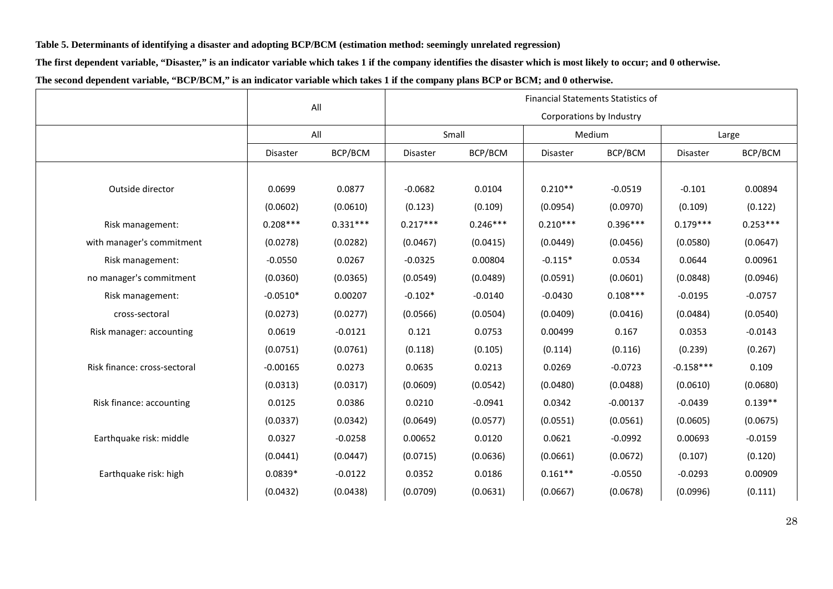**Table 5. Determinants of identifying a disaster and adopting BCP/BCM (estimation method: seemingly unrelated regression)**

**The first dependent variable, "Disaster," is an indicator variable which takes 1 if the company identifies the disaster which is most likely to occur; and 0 otherwise.**

| The second dependent variable, "BCP/BCM," is an indicator variable which takes 1 if the company plans BCP or BCM; and 0 otherwise. |  |  |  |  |
|------------------------------------------------------------------------------------------------------------------------------------|--|--|--|--|
|------------------------------------------------------------------------------------------------------------------------------------|--|--|--|--|

|                              |            | All        | <b>Financial Statements Statistics of</b> |            |            |                          |             |            |  |  |
|------------------------------|------------|------------|-------------------------------------------|------------|------------|--------------------------|-------------|------------|--|--|
|                              |            |            |                                           |            |            | Corporations by Industry |             |            |  |  |
|                              |            | All        |                                           | Small      |            | Medium                   | Large       |            |  |  |
|                              | Disaster   | BCP/BCM    | Disaster                                  | BCP/BCM    | Disaster   | BCP/BCM                  | Disaster    | BCP/BCM    |  |  |
|                              |            |            |                                           |            |            |                          |             |            |  |  |
| Outside director             | 0.0699     | 0.0877     | $-0.0682$                                 | 0.0104     | $0.210**$  | $-0.0519$                | $-0.101$    | 0.00894    |  |  |
|                              | (0.0602)   | (0.0610)   | (0.123)                                   | (0.109)    | (0.0954)   | (0.0970)                 | (0.109)     | (0.122)    |  |  |
| Risk management:             | $0.208***$ | $0.331***$ | $0.217***$                                | $0.246***$ | $0.210***$ | $0.396***$               | $0.179***$  | $0.253***$ |  |  |
| with manager's commitment    | (0.0278)   | (0.0282)   | (0.0467)                                  | (0.0415)   | (0.0449)   | (0.0456)                 | (0.0580)    | (0.0647)   |  |  |
| Risk management:             | $-0.0550$  | 0.0267     | $-0.0325$                                 | 0.00804    | $-0.115*$  | 0.0534                   | 0.0644      | 0.00961    |  |  |
| no manager's commitment      | (0.0360)   | (0.0365)   | (0.0549)                                  | (0.0489)   | (0.0591)   | (0.0601)                 | (0.0848)    | (0.0946)   |  |  |
| Risk management:             | $-0.0510*$ | 0.00207    | $-0.102*$                                 | $-0.0140$  | $-0.0430$  | $0.108***$               | $-0.0195$   | $-0.0757$  |  |  |
| cross-sectoral               | (0.0273)   | (0.0277)   | (0.0566)                                  | (0.0504)   | (0.0409)   | (0.0416)                 | (0.0484)    | (0.0540)   |  |  |
| Risk manager: accounting     | 0.0619     | $-0.0121$  | 0.121                                     | 0.0753     | 0.00499    | 0.167                    | 0.0353      | $-0.0143$  |  |  |
|                              | (0.0751)   | (0.0761)   | (0.118)                                   | (0.105)    | (0.114)    | (0.116)                  | (0.239)     | (0.267)    |  |  |
| Risk finance: cross-sectoral | $-0.00165$ | 0.0273     | 0.0635                                    | 0.0213     | 0.0269     | $-0.0723$                | $-0.158***$ | 0.109      |  |  |
|                              | (0.0313)   | (0.0317)   | (0.0609)                                  | (0.0542)   | (0.0480)   | (0.0488)                 | (0.0610)    | (0.0680)   |  |  |
| Risk finance: accounting     | 0.0125     | 0.0386     | 0.0210                                    | $-0.0941$  | 0.0342     | $-0.00137$               | $-0.0439$   | $0.139**$  |  |  |
|                              | (0.0337)   | (0.0342)   | (0.0649)                                  | (0.0577)   | (0.0551)   | (0.0561)                 | (0.0605)    | (0.0675)   |  |  |
| Earthquake risk: middle      | 0.0327     | $-0.0258$  | 0.00652                                   | 0.0120     | 0.0621     | $-0.0992$                | 0.00693     | $-0.0159$  |  |  |
|                              | (0.0441)   | (0.0447)   | (0.0715)                                  | (0.0636)   | (0.0661)   | (0.0672)                 | (0.107)     | (0.120)    |  |  |
| Earthquake risk: high        | $0.0839*$  | $-0.0122$  | 0.0352                                    | 0.0186     | $0.161**$  | $-0.0550$                | $-0.0293$   | 0.00909    |  |  |
|                              | (0.0432)   | (0.0438)   | (0.0709)                                  | (0.0631)   | (0.0667)   | (0.0678)                 | (0.0996)    | (0.111)    |  |  |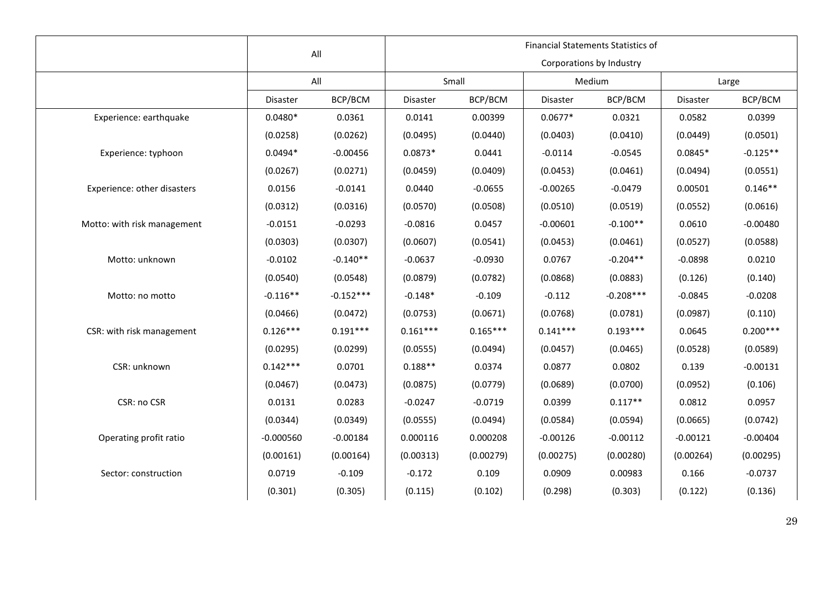|                             |             | All         |            | <b>Financial Statements Statistics of</b> |            |                          |            |            |  |  |  |
|-----------------------------|-------------|-------------|------------|-------------------------------------------|------------|--------------------------|------------|------------|--|--|--|
|                             |             |             |            |                                           |            | Corporations by Industry |            |            |  |  |  |
|                             |             | All         |            | Small                                     |            | Medium                   | Large      |            |  |  |  |
|                             | Disaster    | BCP/BCM     | Disaster   | BCP/BCM                                   | Disaster   | BCP/BCM                  | Disaster   | BCP/BCM    |  |  |  |
| Experience: earthquake      | $0.0480*$   | 0.0361      | 0.0141     | 0.00399                                   | $0.0677*$  | 0.0321                   | 0.0582     | 0.0399     |  |  |  |
|                             | (0.0258)    | (0.0262)    | (0.0495)   | (0.0440)                                  | (0.0403)   | (0.0410)                 | (0.0449)   | (0.0501)   |  |  |  |
| Experience: typhoon         | $0.0494*$   | $-0.00456$  | $0.0873*$  | 0.0441                                    | $-0.0114$  | $-0.0545$                | $0.0845*$  | $-0.125**$ |  |  |  |
|                             | (0.0267)    | (0.0271)    | (0.0459)   | (0.0409)                                  | (0.0453)   | (0.0461)                 | (0.0494)   | (0.0551)   |  |  |  |
| Experience: other disasters | 0.0156      | $-0.0141$   | 0.0440     | $-0.0655$                                 | $-0.00265$ | $-0.0479$                | 0.00501    | $0.146**$  |  |  |  |
|                             | (0.0312)    | (0.0316)    | (0.0570)   | (0.0508)                                  | (0.0510)   | (0.0519)                 | (0.0552)   | (0.0616)   |  |  |  |
| Motto: with risk management | $-0.0151$   | $-0.0293$   | $-0.0816$  | 0.0457                                    | $-0.00601$ | $-0.100**$               | 0.0610     | $-0.00480$ |  |  |  |
|                             | (0.0303)    | (0.0307)    | (0.0607)   | (0.0541)                                  | (0.0453)   | (0.0461)                 | (0.0527)   | (0.0588)   |  |  |  |
| Motto: unknown              | $-0.0102$   | $-0.140**$  | $-0.0637$  | $-0.0930$                                 | 0.0767     | $-0.204**$               | $-0.0898$  | 0.0210     |  |  |  |
|                             | (0.0540)    | (0.0548)    | (0.0879)   | (0.0782)                                  | (0.0868)   | (0.0883)                 | (0.126)    | (0.140)    |  |  |  |
| Motto: no motto             | $-0.116**$  | $-0.152***$ | $-0.148*$  | $-0.109$                                  | $-0.112$   | $-0.208***$              | $-0.0845$  | $-0.0208$  |  |  |  |
|                             | (0.0466)    | (0.0472)    | (0.0753)   | (0.0671)                                  | (0.0768)   | (0.0781)                 | (0.0987)   | (0.110)    |  |  |  |
| CSR: with risk management   | $0.126***$  | $0.191***$  | $0.161***$ | $0.165***$                                | $0.141***$ | $0.193***$               | 0.0645     | $0.200***$ |  |  |  |
|                             | (0.0295)    | (0.0299)    | (0.0555)   | (0.0494)                                  | (0.0457)   | (0.0465)                 | (0.0528)   | (0.0589)   |  |  |  |
| CSR: unknown                | $0.142***$  | 0.0701      | $0.188**$  | 0.0374                                    | 0.0877     | 0.0802                   | 0.139      | $-0.00131$ |  |  |  |
|                             | (0.0467)    | (0.0473)    | (0.0875)   | (0.0779)                                  | (0.0689)   | (0.0700)                 | (0.0952)   | (0.106)    |  |  |  |
| CSR: no CSR                 | 0.0131      | 0.0283      | $-0.0247$  | $-0.0719$                                 | 0.0399     | $0.117**$                | 0.0812     | 0.0957     |  |  |  |
|                             | (0.0344)    | (0.0349)    | (0.0555)   | (0.0494)                                  | (0.0584)   | (0.0594)                 | (0.0665)   | (0.0742)   |  |  |  |
| Operating profit ratio      | $-0.000560$ | $-0.00184$  | 0.000116   | 0.000208                                  | $-0.00126$ | $-0.00112$               | $-0.00121$ | $-0.00404$ |  |  |  |
|                             | (0.00161)   | (0.00164)   | (0.00313)  | (0.00279)                                 | (0.00275)  | (0.00280)                | (0.00264)  | (0.00295)  |  |  |  |
| Sector: construction        | 0.0719      | $-0.109$    | $-0.172$   | 0.109                                     | 0.0909     | 0.00983                  | 0.166      | $-0.0737$  |  |  |  |
|                             | (0.301)     | (0.305)     | (0.115)    | (0.102)                                   | (0.298)    | (0.303)                  | (0.122)    | (0.136)    |  |  |  |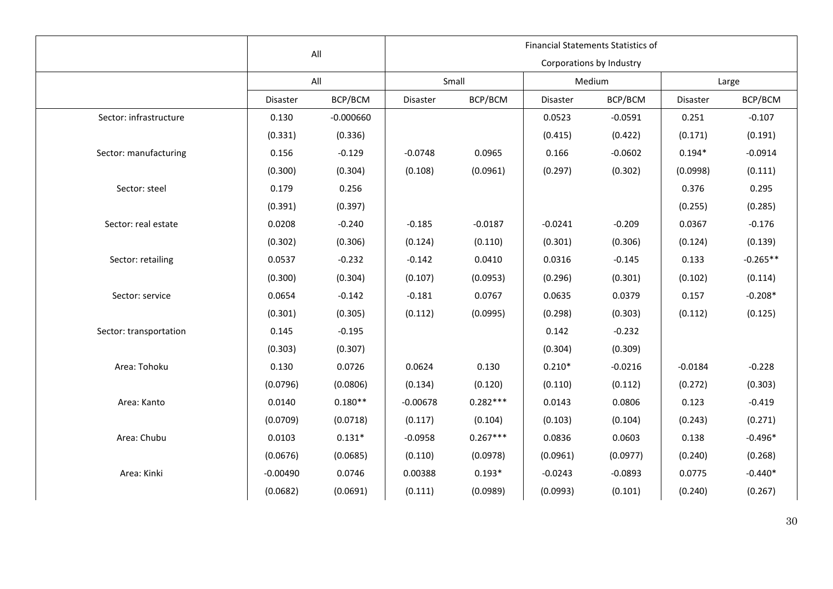|                        |            | All         |            | Financial Statements Statistics of |           |                          |           |            |  |  |  |
|------------------------|------------|-------------|------------|------------------------------------|-----------|--------------------------|-----------|------------|--|--|--|
|                        |            |             |            |                                    |           | Corporations by Industry |           |            |  |  |  |
|                        |            | All         |            | Small                              |           | Medium                   | Large     |            |  |  |  |
|                        | Disaster   | BCP/BCM     | Disaster   | BCP/BCM                            | Disaster  | BCP/BCM                  | Disaster  | BCP/BCM    |  |  |  |
| Sector: infrastructure | 0.130      | $-0.000660$ |            |                                    | 0.0523    | $-0.0591$                | 0.251     | $-0.107$   |  |  |  |
|                        | (0.331)    | (0.336)     |            |                                    | (0.415)   | (0.422)                  | (0.171)   | (0.191)    |  |  |  |
| Sector: manufacturing  | 0.156      | $-0.129$    | $-0.0748$  | 0.0965                             | 0.166     | $-0.0602$                | $0.194*$  | $-0.0914$  |  |  |  |
|                        | (0.300)    | (0.304)     | (0.108)    | (0.0961)                           | (0.297)   | (0.302)                  | (0.0998)  | (0.111)    |  |  |  |
| Sector: steel          | 0.179      | 0.256       |            |                                    |           |                          | 0.376     | 0.295      |  |  |  |
|                        | (0.391)    | (0.397)     |            |                                    |           |                          | (0.255)   | (0.285)    |  |  |  |
| Sector: real estate    | 0.0208     | $-0.240$    | $-0.185$   | $-0.0187$                          | $-0.0241$ | $-0.209$                 | 0.0367    | $-0.176$   |  |  |  |
|                        | (0.302)    | (0.306)     | (0.124)    | (0.110)                            | (0.301)   | (0.306)                  | (0.124)   | (0.139)    |  |  |  |
| Sector: retailing      | 0.0537     | $-0.232$    | $-0.142$   | 0.0410                             | 0.0316    | $-0.145$                 | 0.133     | $-0.265**$ |  |  |  |
|                        | (0.300)    | (0.304)     | (0.107)    | (0.0953)                           | (0.296)   | (0.301)                  | (0.102)   | (0.114)    |  |  |  |
| Sector: service        | 0.0654     | $-0.142$    | $-0.181$   | 0.0767                             | 0.0635    | 0.0379                   | 0.157     | $-0.208*$  |  |  |  |
|                        | (0.301)    | (0.305)     | (0.112)    | (0.0995)                           | (0.298)   | (0.303)                  | (0.112)   | (0.125)    |  |  |  |
| Sector: transportation | 0.145      | $-0.195$    |            |                                    | 0.142     | $-0.232$                 |           |            |  |  |  |
|                        | (0.303)    | (0.307)     |            |                                    | (0.304)   | (0.309)                  |           |            |  |  |  |
| Area: Tohoku           | 0.130      | 0.0726      | 0.0624     | 0.130                              | $0.210*$  | $-0.0216$                | $-0.0184$ | $-0.228$   |  |  |  |
|                        | (0.0796)   | (0.0806)    | (0.134)    | (0.120)                            | (0.110)   | (0.112)                  | (0.272)   | (0.303)    |  |  |  |
| Area: Kanto            | 0.0140     | $0.180**$   | $-0.00678$ | $0.282***$                         | 0.0143    | 0.0806                   | 0.123     | $-0.419$   |  |  |  |
|                        | (0.0709)   | (0.0718)    | (0.117)    | (0.104)                            | (0.103)   | (0.104)                  | (0.243)   | (0.271)    |  |  |  |
| Area: Chubu            | 0.0103     | $0.131*$    | $-0.0958$  | $0.267***$                         | 0.0836    | 0.0603                   | 0.138     | $-0.496*$  |  |  |  |
|                        | (0.0676)   | (0.0685)    | (0.110)    | (0.0978)                           | (0.0961)  | (0.0977)                 | (0.240)   | (0.268)    |  |  |  |
| Area: Kinki            | $-0.00490$ | 0.0746      | 0.00388    | $0.193*$                           | $-0.0243$ | $-0.0893$                | 0.0775    | $-0.440*$  |  |  |  |
|                        | (0.0682)   | (0.0691)    | (0.111)    | (0.0989)                           | (0.0993)  | (0.101)                  | (0.240)   | (0.267)    |  |  |  |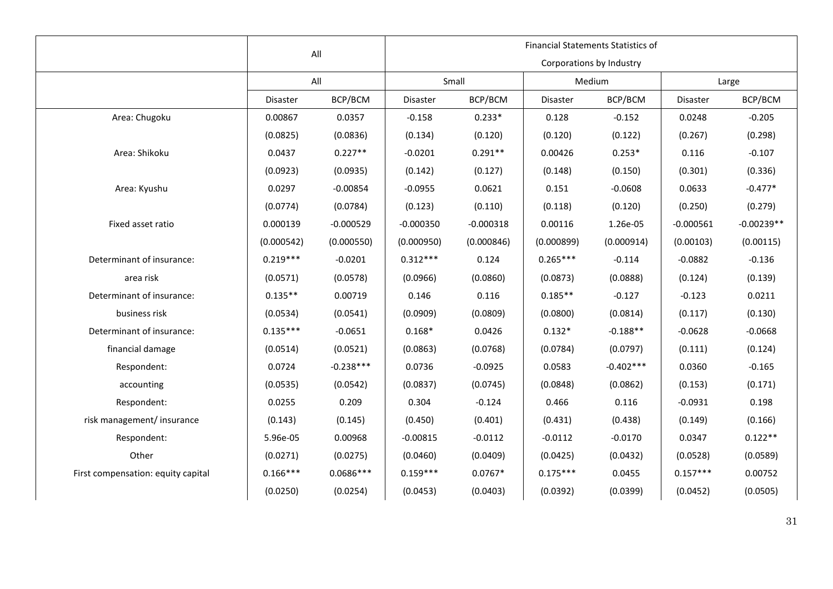|                                    |                 | All         |                 |             | <b>Financial Statements Statistics of</b> |                          |             |              |
|------------------------------------|-----------------|-------------|-----------------|-------------|-------------------------------------------|--------------------------|-------------|--------------|
|                                    |                 |             |                 |             |                                           | Corporations by Industry |             |              |
|                                    |                 | All         |                 | Small       |                                           | Medium                   | Large       |              |
|                                    | <b>Disaster</b> | BCP/BCM     | <b>Disaster</b> | BCP/BCM     | Disaster                                  | BCP/BCM                  | Disaster    | BCP/BCM      |
| Area: Chugoku                      | 0.00867         | 0.0357      | $-0.158$        | $0.233*$    | 0.128                                     | $-0.152$                 | 0.0248      | $-0.205$     |
|                                    | (0.0825)        | (0.0836)    | (0.134)         | (0.120)     | (0.120)                                   | (0.122)                  | (0.267)     | (0.298)      |
| Area: Shikoku                      | 0.0437          | $0.227**$   | $-0.0201$       | $0.291**$   | 0.00426                                   | $0.253*$                 | 0.116       | $-0.107$     |
|                                    | (0.0923)        | (0.0935)    | (0.142)         | (0.127)     | (0.148)                                   | (0.150)                  | (0.301)     | (0.336)      |
| Area: Kyushu                       | 0.0297          | $-0.00854$  | $-0.0955$       | 0.0621      | 0.151                                     | $-0.0608$                | 0.0633      | $-0.477*$    |
|                                    | (0.0774)        | (0.0784)    | (0.123)         | (0.110)     | (0.118)                                   | (0.120)                  | (0.250)     | (0.279)      |
| Fixed asset ratio                  | 0.000139        | $-0.000529$ | $-0.000350$     | $-0.000318$ | 0.00116                                   | 1.26e-05                 | $-0.000561$ | $-0.00239**$ |
|                                    | (0.000542)      | (0.000550)  | (0.000950)      | (0.000846)  | (0.000899)                                | (0.000914)               | (0.00103)   | (0.00115)    |
| Determinant of insurance:          | $0.219***$      | $-0.0201$   | $0.312***$      | 0.124       | $0.265***$                                | $-0.114$                 | $-0.0882$   | $-0.136$     |
| area risk                          | (0.0571)        | (0.0578)    | (0.0966)        | (0.0860)    | (0.0873)                                  | (0.0888)                 | (0.124)     | (0.139)      |
| Determinant of insurance:          | $0.135**$       | 0.00719     | 0.146           | 0.116       | $0.185**$                                 | $-0.127$                 | $-0.123$    | 0.0211       |
| business risk                      | (0.0534)        | (0.0541)    | (0.0909)        | (0.0809)    | (0.0800)                                  | (0.0814)                 | (0.117)     | (0.130)      |
| Determinant of insurance:          | $0.135***$      | $-0.0651$   | $0.168*$        | 0.0426      | $0.132*$                                  | $-0.188**$               | $-0.0628$   | $-0.0668$    |
| financial damage                   | (0.0514)        | (0.0521)    | (0.0863)        | (0.0768)    | (0.0784)                                  | (0.0797)                 | (0.111)     | (0.124)      |
| Respondent:                        | 0.0724          | $-0.238***$ | 0.0736          | $-0.0925$   | 0.0583                                    | $-0.402***$              | 0.0360      | $-0.165$     |
| accounting                         | (0.0535)        | (0.0542)    | (0.0837)        | (0.0745)    | (0.0848)                                  | (0.0862)                 | (0.153)     | (0.171)      |
| Respondent:                        | 0.0255          | 0.209       | 0.304           | $-0.124$    | 0.466                                     | 0.116                    | $-0.0931$   | 0.198        |
| risk management/ insurance         | (0.143)         | (0.145)     | (0.450)         | (0.401)     | (0.431)                                   | (0.438)                  | (0.149)     | (0.166)      |
| Respondent:                        | 5.96e-05        | 0.00968     | $-0.00815$      | $-0.0112$   | $-0.0112$                                 | $-0.0170$                | 0.0347      | $0.122**$    |
| Other                              | (0.0271)        | (0.0275)    | (0.0460)        | (0.0409)    | (0.0425)                                  | (0.0432)                 | (0.0528)    | (0.0589)     |
| First compensation: equity capital | $0.166***$      | $0.0686***$ | $0.159***$      | $0.0767*$   | $0.175***$                                | 0.0455                   | $0.157***$  | 0.00752      |
|                                    | (0.0250)        | (0.0254)    | (0.0453)        | (0.0403)    | (0.0392)                                  | (0.0399)                 | (0.0452)    | (0.0505)     |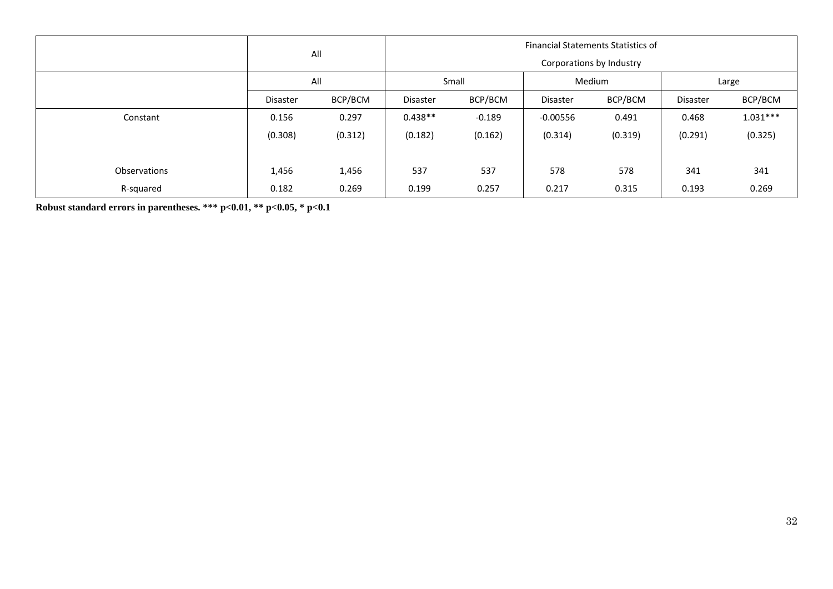|              |          | All     |                 | <b>Financial Statements Statistics of</b> |                 |         |          |            |  |  |  |
|--------------|----------|---------|-----------------|-------------------------------------------|-----------------|---------|----------|------------|--|--|--|
|              |          |         |                 | Corporations by Industry                  |                 |         |          |            |  |  |  |
|              | All      |         |                 | Small                                     |                 | Medium  |          | Large      |  |  |  |
|              | Disaster | BCP/BCM | <b>Disaster</b> | BCP/BCM                                   | <b>Disaster</b> | BCP/BCM | Disaster | BCP/BCM    |  |  |  |
| Constant     | 0.156    | 0.297   | $0.438**$       | $-0.189$                                  | $-0.00556$      | 0.491   | 0.468    | $1.031***$ |  |  |  |
|              | (0.308)  | (0.312) | (0.182)         | (0.162)                                   | (0.314)         | (0.319) | (0.291)  | (0.325)    |  |  |  |
|              |          |         |                 |                                           |                 |         |          |            |  |  |  |
| Observations | 1,456    | 1,456   | 537             | 537                                       | 578             | 578     | 341      | 341        |  |  |  |
| R-squared    | 0.182    | 0.269   | 0.199           | 0.257                                     | 0.217           | 0.315   | 0.193    | 0.269      |  |  |  |

**Robust standard errors in parentheses. \*\*\* p<0.01, \*\* p<0.05, \* p<0.1**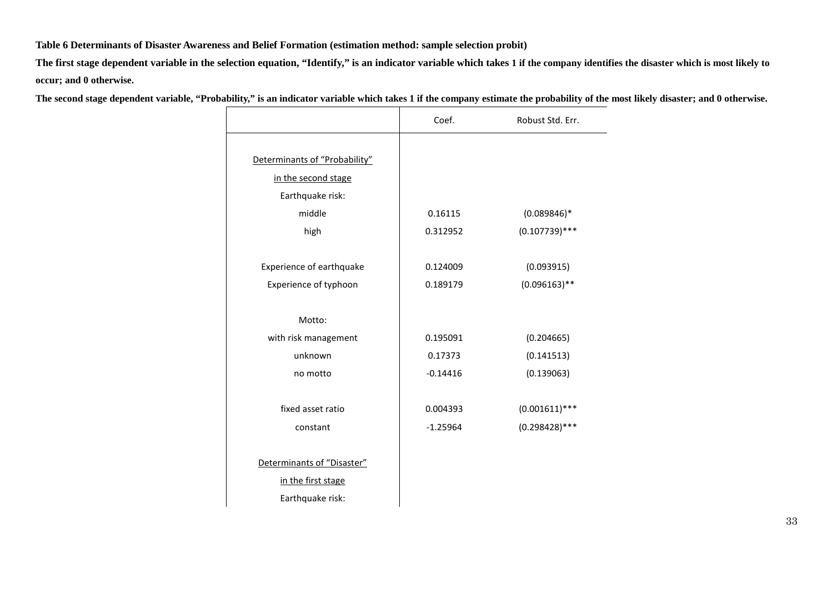#### **Table 6 Determinants of Disaster Awareness and Belief Formation (estimation method: sample selection probit)**

**The first stage dependent variable in the selection equation, "Identify," is an indicator variable which takes 1 if the company identifies the disaster which is most likely to occur; and 0 otherwise.**

**The second stage dependent variable, "Probability," is an indicator variable which takes 1 if the company estimate the probability of the most likely disaster; and 0 otherwise.**

|                               | Coef.      | Robust Std. Err. |
|-------------------------------|------------|------------------|
|                               |            |                  |
| Determinants of "Probability" |            |                  |
| in the second stage           |            |                  |
| Earthquake risk:              |            |                  |
| middle                        | 0.16115    | $(0.089846)*$    |
| high                          | 0.312952   | $(0.107739)$ *** |
|                               |            |                  |
| Experience of earthquake      | 0.124009   | (0.093915)       |
| Experience of typhoon         | 0.189179   | $(0.096163)$ **  |
|                               |            |                  |
| Motto:                        |            |                  |
| with risk management          | 0.195091   | (0.204665)       |
| unknown                       | 0.17373    | (0.141513)       |
| no motto                      | $-0.14416$ | (0.139063)       |
|                               |            |                  |
| fixed asset ratio             | 0.004393   | $(0.001611)$ *** |
| constant                      | $-1.25964$ | $(0.298428)$ *** |
|                               |            |                  |
| Determinants of "Disaster"    |            |                  |
| in the first stage            |            |                  |
| Earthquake risk:              |            |                  |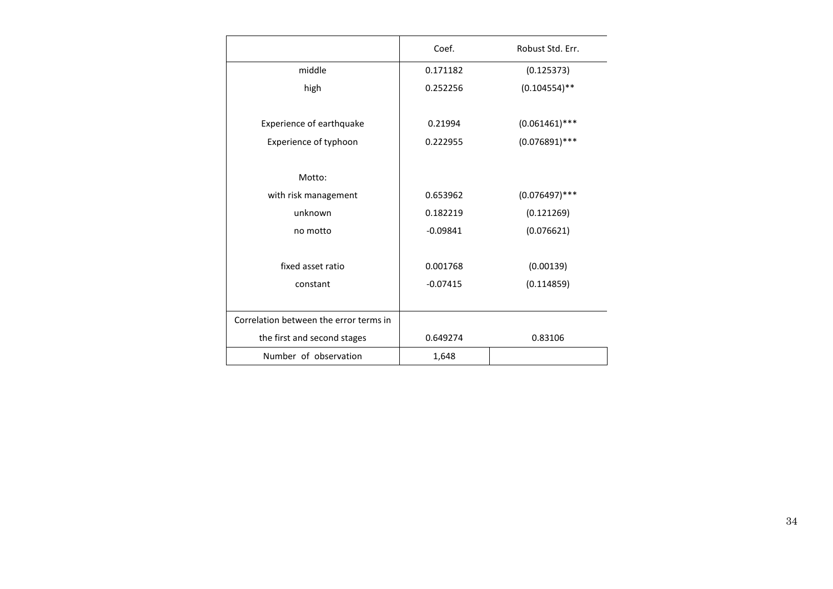|                                        | Coef.      | Robust Std. Err. |
|----------------------------------------|------------|------------------|
| middle                                 | 0.171182   | (0.125373)       |
| high                                   | 0.252256   | $(0.104554)$ **  |
|                                        |            |                  |
| Experience of earthquake               | 0.21994    | $(0.061461)$ *** |
| Experience of typhoon                  | 0.222955   | $(0.076891)$ *** |
|                                        |            |                  |
| Motto:                                 |            |                  |
| with risk management                   | 0.653962   | $(0.076497)$ *** |
| unknown                                | 0.182219   | (0.121269)       |
| no motto                               | $-0.09841$ | (0.076621)       |
|                                        |            |                  |
| fixed asset ratio                      | 0.001768   | (0.00139)        |
| constant                               | $-0.07415$ | (0.114859)       |
|                                        |            |                  |
| Correlation between the error terms in |            |                  |
| the first and second stages            | 0.649274   | 0.83106          |
| Number of observation                  | 1,648      |                  |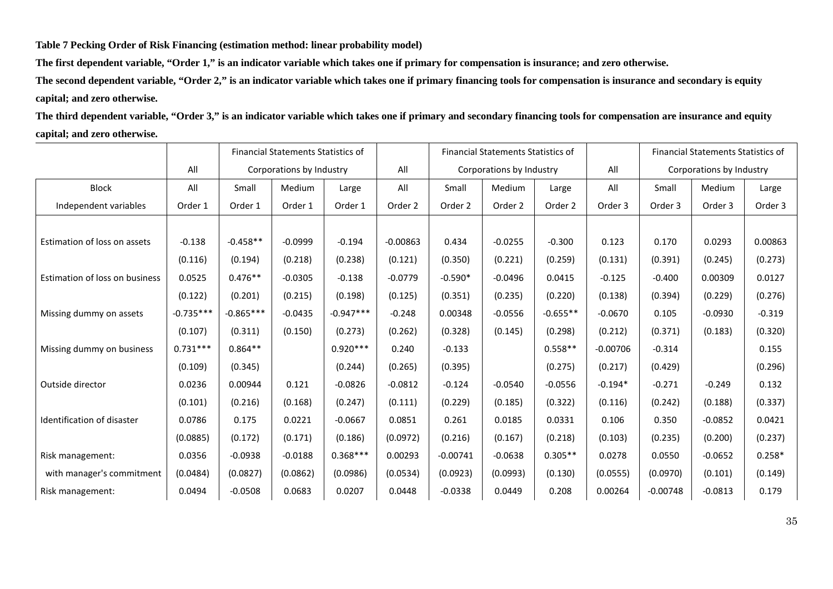**Table 7 Pecking Order of Risk Financing (estimation method: linear probability model)**

**The first dependent variable, "Order 1," is an indicator variable which takes one if primary for compensation is insurance; and zero otherwise.**

**The second dependent variable, "Order 2," is an indicator variable which takes one if primary financing tools for compensation is insurance and secondary is equity capital; and zero otherwise.**

**The third dependent variable, "Order 3," is an indicator variable which takes one if primary and secondary financing tools for compensation are insurance and equity capital; and zero otherwise.**

|                                |             |             | Financial Statements Statistics of |             | <b>Financial Statements Statistics of</b> |            |                          |            | Financial Statements Statistics of |            |                          |          |
|--------------------------------|-------------|-------------|------------------------------------|-------------|-------------------------------------------|------------|--------------------------|------------|------------------------------------|------------|--------------------------|----------|
|                                | All         |             | Corporations by Industry           |             | All                                       |            | Corporations by Industry |            | All                                |            | Corporations by Industry |          |
| <b>Block</b>                   | All         | Small       | Medium                             | Large       | All                                       | Small      | Medium                   | Large      | All                                | Small      | Medium                   | Large    |
| Independent variables          | Order 1     | Order 1     | Order 1                            | Order 1     | Order 2                                   | Order 2    | Order 2                  | Order 2    | Order 3                            | Order 3    | Order 3                  | Order 3  |
|                                |             |             |                                    |             |                                           |            |                          |            |                                    |            |                          |          |
| Estimation of loss on assets   | $-0.138$    | $-0.458**$  | $-0.0999$                          | $-0.194$    | $-0.00863$                                | 0.434      | $-0.0255$                | $-0.300$   | 0.123                              | 0.170      | 0.0293                   | 0.00863  |
|                                | (0.116)     | (0.194)     | (0.218)                            | (0.238)     | (0.121)                                   | (0.350)    | (0.221)                  | (0.259)    | (0.131)                            | (0.391)    | (0.245)                  | (0.273)  |
| Estimation of loss on business | 0.0525      | $0.476**$   | $-0.0305$                          | $-0.138$    | $-0.0779$                                 | $-0.590*$  | $-0.0496$                | 0.0415     | $-0.125$                           | $-0.400$   | 0.00309                  | 0.0127   |
|                                | (0.122)     | (0.201)     | (0.215)                            | (0.198)     | (0.125)                                   | (0.351)    | (0.235)                  | (0.220)    | (0.138)                            | (0.394)    | (0.229)                  | (0.276)  |
| Missing dummy on assets        | $-0.735***$ | $-0.865***$ | $-0.0435$                          | $-0.947***$ | $-0.248$                                  | 0.00348    | $-0.0556$                | $-0.655**$ | $-0.0670$                          | 0.105      | $-0.0930$                | $-0.319$ |
|                                | (0.107)     | (0.311)     | (0.150)                            | (0.273)     | (0.262)                                   | (0.328)    | (0.145)                  | (0.298)    | (0.212)                            | (0.371)    | (0.183)                  | (0.320)  |
| Missing dummy on business      | $0.731***$  | $0.864**$   |                                    | $0.920***$  | 0.240                                     | $-0.133$   |                          | $0.558**$  | $-0.00706$                         | $-0.314$   |                          | 0.155    |
|                                | (0.109)     | (0.345)     |                                    | (0.244)     | (0.265)                                   | (0.395)    |                          | (0.275)    | (0.217)                            | (0.429)    |                          | (0.296)  |
| Outside director               | 0.0236      | 0.00944     | 0.121                              | $-0.0826$   | $-0.0812$                                 | $-0.124$   | $-0.0540$                | $-0.0556$  | $-0.194*$                          | $-0.271$   | $-0.249$                 | 0.132    |
|                                | (0.101)     | (0.216)     | (0.168)                            | (0.247)     | (0.111)                                   | (0.229)    | (0.185)                  | (0.322)    | (0.116)                            | (0.242)    | (0.188)                  | (0.337)  |
| Identification of disaster     | 0.0786      | 0.175       | 0.0221                             | $-0.0667$   | 0.0851                                    | 0.261      | 0.0185                   | 0.0331     | 0.106                              | 0.350      | $-0.0852$                | 0.0421   |
|                                | (0.0885)    | (0.172)     | (0.171)                            | (0.186)     | (0.0972)                                  | (0.216)    | (0.167)                  | (0.218)    | (0.103)                            | (0.235)    | (0.200)                  | (0.237)  |
| Risk management:               | 0.0356      | $-0.0938$   | $-0.0188$                          | $0.368***$  | 0.00293                                   | $-0.00741$ | $-0.0638$                | $0.305**$  | 0.0278                             | 0.0550     | $-0.0652$                | $0.258*$ |
| with manager's commitment      | (0.0484)    | (0.0827)    | (0.0862)                           | (0.0986)    | (0.0534)                                  | (0.0923)   | (0.0993)                 | (0.130)    | (0.0555)                           | (0.0970)   | (0.101)                  | (0.149)  |
| Risk management:               | 0.0494      | $-0.0508$   | 0.0683                             | 0.0207      | 0.0448                                    | $-0.0338$  | 0.0449                   | 0.208      | 0.00264                            | $-0.00748$ | $-0.0813$                | 0.179    |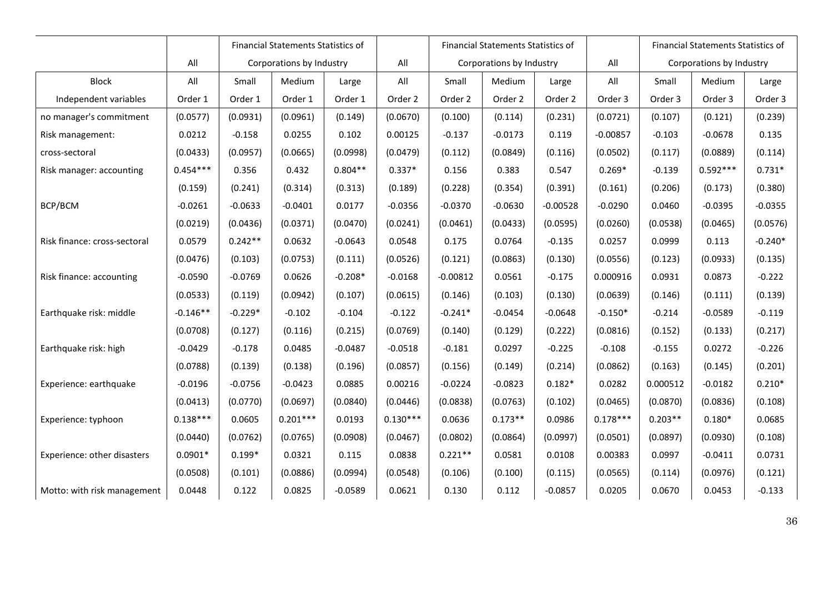|                              |            | Financial Statements Statistics of |            |           |            | <b>Financial Statements Statistics of</b> |           |            |            | Financial Statements Statistics of |            |           |
|------------------------------|------------|------------------------------------|------------|-----------|------------|-------------------------------------------|-----------|------------|------------|------------------------------------|------------|-----------|
|                              | All        | Corporations by Industry           |            |           | All        | Corporations by Industry                  |           |            | All        | Corporations by Industry           |            |           |
| <b>Block</b>                 | All        | Small                              | Medium     | Large     | All        | Small                                     | Medium    | Large      | All        | Small                              | Medium     | Large     |
| Independent variables        | Order 1    | Order 1                            | Order 1    | Order 1   | Order 2    | Order 2                                   | Order 2   | Order 2    | Order 3    | Order 3                            | Order 3    | Order 3   |
| no manager's commitment      | (0.0577)   | (0.0931)                           | (0.0961)   | (0.149)   | (0.0670)   | (0.100)                                   | (0.114)   | (0.231)    | (0.0721)   | (0.107)                            | (0.121)    | (0.239)   |
| Risk management:             | 0.0212     | $-0.158$                           | 0.0255     | 0.102     | 0.00125    | $-0.137$                                  | $-0.0173$ | 0.119      | $-0.00857$ | $-0.103$                           | $-0.0678$  | 0.135     |
| cross-sectoral               | (0.0433)   | (0.0957)                           | (0.0665)   | (0.0998)  | (0.0479)   | (0.112)                                   | (0.0849)  | (0.116)    | (0.0502)   | (0.117)                            | (0.0889)   | (0.114)   |
| Risk manager: accounting     | $0.454***$ | 0.356                              | 0.432      | $0.804**$ | $0.337*$   | 0.156                                     | 0.383     | 0.547      | $0.269*$   | $-0.139$                           | $0.592***$ | $0.731*$  |
|                              | (0.159)    | (0.241)                            | (0.314)    | (0.313)   | (0.189)    | (0.228)                                   | (0.354)   | (0.391)    | (0.161)    | (0.206)                            | (0.173)    | (0.380)   |
| BCP/BCM                      | $-0.0261$  | $-0.0633$                          | $-0.0401$  | 0.0177    | $-0.0356$  | $-0.0370$                                 | $-0.0630$ | $-0.00528$ | $-0.0290$  | 0.0460                             | $-0.0395$  | $-0.0355$ |
|                              | (0.0219)   | (0.0436)                           | (0.0371)   | (0.0470)  | (0.0241)   | (0.0461)                                  | (0.0433)  | (0.0595)   | (0.0260)   | (0.0538)                           | (0.0465)   | (0.0576)  |
| Risk finance: cross-sectoral | 0.0579     | $0.242**$                          | 0.0632     | $-0.0643$ | 0.0548     | 0.175                                     | 0.0764    | $-0.135$   | 0.0257     | 0.0999                             | 0.113      | $-0.240*$ |
|                              | (0.0476)   | (0.103)                            | (0.0753)   | (0.111)   | (0.0526)   | (0.121)                                   | (0.0863)  | (0.130)    | (0.0556)   | (0.123)                            | (0.0933)   | (0.135)   |
| Risk finance: accounting     | $-0.0590$  | $-0.0769$                          | 0.0626     | $-0.208*$ | $-0.0168$  | $-0.00812$                                | 0.0561    | $-0.175$   | 0.000916   | 0.0931                             | 0.0873     | $-0.222$  |
|                              | (0.0533)   | (0.119)                            | (0.0942)   | (0.107)   | (0.0615)   | (0.146)                                   | (0.103)   | (0.130)    | (0.0639)   | (0.146)                            | (0.111)    | (0.139)   |
| Earthquake risk: middle      | $-0.146**$ | $-0.229*$                          | $-0.102$   | $-0.104$  | $-0.122$   | $-0.241*$                                 | $-0.0454$ | $-0.0648$  | $-0.150*$  | $-0.214$                           | $-0.0589$  | $-0.119$  |
|                              | (0.0708)   | (0.127)                            | (0.116)    | (0.215)   | (0.0769)   | (0.140)                                   | (0.129)   | (0.222)    | (0.0816)   | (0.152)                            | (0.133)    | (0.217)   |
| Earthquake risk: high        | $-0.0429$  | $-0.178$                           | 0.0485     | $-0.0487$ | $-0.0518$  | $-0.181$                                  | 0.0297    | $-0.225$   | $-0.108$   | $-0.155$                           | 0.0272     | $-0.226$  |
|                              | (0.0788)   | (0.139)                            | (0.138)    | (0.196)   | (0.0857)   | (0.156)                                   | (0.149)   | (0.214)    | (0.0862)   | (0.163)                            | (0.145)    | (0.201)   |
| Experience: earthquake       | $-0.0196$  | $-0.0756$                          | $-0.0423$  | 0.0885    | 0.00216    | $-0.0224$                                 | $-0.0823$ | $0.182*$   | 0.0282     | 0.000512                           | $-0.0182$  | $0.210*$  |
|                              | (0.0413)   | (0.0770)                           | (0.0697)   | (0.0840)  | (0.0446)   | (0.0838)                                  | (0.0763)  | (0.102)    | (0.0465)   | (0.0870)                           | (0.0836)   | (0.108)   |
| Experience: typhoon          | $0.138***$ | 0.0605                             | $0.201***$ | 0.0193    | $0.130***$ | 0.0636                                    | $0.173**$ | 0.0986     | $0.178***$ | $0.203**$                          | $0.180*$   | 0.0685    |
|                              | (0.0440)   | (0.0762)                           | (0.0765)   | (0.0908)  | (0.0467)   | (0.0802)                                  | (0.0864)  | (0.0997)   | (0.0501)   | (0.0897)                           | (0.0930)   | (0.108)   |
| Experience: other disasters  | $0.0901*$  | $0.199*$                           | 0.0321     | 0.115     | 0.0838     | $0.221**$                                 | 0.0581    | 0.0108     | 0.00383    | 0.0997                             | $-0.0411$  | 0.0731    |
|                              | (0.0508)   | (0.101)                            | (0.0886)   | (0.0994)  | (0.0548)   | (0.106)                                   | (0.100)   | (0.115)    | (0.0565)   | (0.114)                            | (0.0976)   | (0.121)   |
| Motto: with risk management  | 0.0448     | 0.122                              | 0.0825     | $-0.0589$ | 0.0621     | 0.130                                     | 0.112     | $-0.0857$  | 0.0205     | 0.0670                             | 0.0453     | $-0.133$  |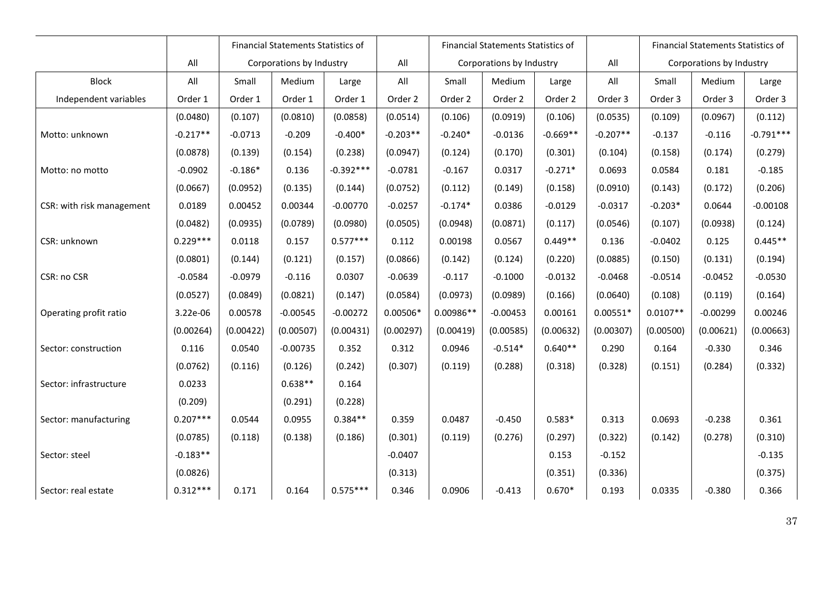|                           |            | <b>Financial Statements Statistics of</b> |            |             |            |                          | <b>Financial Statements Statistics of</b> |            |            | Financial Statements Statistics of |            |             |
|---------------------------|------------|-------------------------------------------|------------|-------------|------------|--------------------------|-------------------------------------------|------------|------------|------------------------------------|------------|-------------|
|                           | All        | Corporations by Industry                  |            |             | All        | Corporations by Industry |                                           |            | All        | Corporations by Industry           |            |             |
| <b>Block</b>              | All        | Small                                     | Medium     | Large       | All        | Small                    | Medium                                    | Large      | All        | Small                              | Medium     | Large       |
| Independent variables     | Order 1    | Order 1                                   | Order 1    | Order 1     | Order 2    | Order 2                  | Order 2                                   | Order 2    | Order 3    | Order 3                            | Order 3    | Order 3     |
|                           | (0.0480)   | (0.107)                                   | (0.0810)   | (0.0858)    | (0.0514)   | (0.106)                  | (0.0919)                                  | (0.106)    | (0.0535)   | (0.109)                            | (0.0967)   | (0.112)     |
| Motto: unknown            | $-0.217**$ | $-0.0713$                                 | $-0.209$   | $-0.400*$   | $-0.203**$ | $-0.240*$                | $-0.0136$                                 | $-0.669**$ | $-0.207**$ | $-0.137$                           | $-0.116$   | $-0.791***$ |
|                           | (0.0878)   | (0.139)                                   | (0.154)    | (0.238)     | (0.0947)   | (0.124)                  | (0.170)                                   | (0.301)    | (0.104)    | (0.158)                            | (0.174)    | (0.279)     |
| Motto: no motto           | $-0.0902$  | $-0.186*$                                 | 0.136      | $-0.392***$ | $-0.0781$  | $-0.167$                 | 0.0317                                    | $-0.271*$  | 0.0693     | 0.0584                             | 0.181      | $-0.185$    |
|                           | (0.0667)   | (0.0952)                                  | (0.135)    | (0.144)     | (0.0752)   | (0.112)                  | (0.149)                                   | (0.158)    | (0.0910)   | (0.143)                            | (0.172)    | (0.206)     |
| CSR: with risk management | 0.0189     | 0.00452                                   | 0.00344    | $-0.00770$  | $-0.0257$  | $-0.174*$                | 0.0386                                    | $-0.0129$  | $-0.0317$  | $-0.203*$                          | 0.0644     | $-0.00108$  |
|                           | (0.0482)   | (0.0935)                                  | (0.0789)   | (0.0980)    | (0.0505)   | (0.0948)                 | (0.0871)                                  | (0.117)    | (0.0546)   | (0.107)                            | (0.0938)   | (0.124)     |
| CSR: unknown              | $0.229***$ | 0.0118                                    | 0.157      | $0.577***$  | 0.112      | 0.00198                  | 0.0567                                    | $0.449**$  | 0.136      | $-0.0402$                          | 0.125      | $0.445**$   |
|                           | (0.0801)   | (0.144)                                   | (0.121)    | (0.157)     | (0.0866)   | (0.142)                  | (0.124)                                   | (0.220)    | (0.0885)   | (0.150)                            | (0.131)    | (0.194)     |
| CSR: no CSR               | $-0.0584$  | $-0.0979$                                 | $-0.116$   | 0.0307      | $-0.0639$  | $-0.117$                 | $-0.1000$                                 | $-0.0132$  | $-0.0468$  | $-0.0514$                          | $-0.0452$  | $-0.0530$   |
|                           | (0.0527)   | (0.0849)                                  | (0.0821)   | (0.147)     | (0.0584)   | (0.0973)                 | (0.0989)                                  | (0.166)    | (0.0640)   | (0.108)                            | (0.119)    | (0.164)     |
| Operating profit ratio    | 3.22e-06   | 0.00578                                   | $-0.00545$ | $-0.00272$  | $0.00506*$ | $0.00986**$              | $-0.00453$                                | 0.00161    | $0.00551*$ | $0.0107**$                         | $-0.00299$ | 0.00246     |
|                           | (0.00264)  | (0.00422)                                 | (0.00507)  | (0.00431)   | (0.00297)  | (0.00419)                | (0.00585)                                 | (0.00632)  | (0.00307)  | (0.00500)                          | (0.00621)  | (0.00663)   |
| Sector: construction      | 0.116      | 0.0540                                    | $-0.00735$ | 0.352       | 0.312      | 0.0946                   | $-0.514*$                                 | $0.640**$  | 0.290      | 0.164                              | $-0.330$   | 0.346       |
|                           | (0.0762)   | (0.116)                                   | (0.126)    | (0.242)     | (0.307)    | (0.119)                  | (0.288)                                   | (0.318)    | (0.328)    | (0.151)                            | (0.284)    | (0.332)     |
| Sector: infrastructure    | 0.0233     |                                           | $0.638**$  | 0.164       |            |                          |                                           |            |            |                                    |            |             |
|                           | (0.209)    |                                           | (0.291)    | (0.228)     |            |                          |                                           |            |            |                                    |            |             |
| Sector: manufacturing     | $0.207***$ | 0.0544                                    | 0.0955     | $0.384**$   | 0.359      | 0.0487                   | $-0.450$                                  | $0.583*$   | 0.313      | 0.0693                             | $-0.238$   | 0.361       |
|                           | (0.0785)   | (0.118)                                   | (0.138)    | (0.186)     | (0.301)    | (0.119)                  | (0.276)                                   | (0.297)    | (0.322)    | (0.142)                            | (0.278)    | (0.310)     |
| Sector: steel             | $-0.183**$ |                                           |            |             | $-0.0407$  |                          |                                           | 0.153      | $-0.152$   |                                    |            | $-0.135$    |
|                           | (0.0826)   |                                           |            |             | (0.313)    |                          |                                           | (0.351)    | (0.336)    |                                    |            | (0.375)     |
| Sector: real estate       | $0.312***$ | 0.171                                     | 0.164      | $0.575***$  | 0.346      | 0.0906                   | $-0.413$                                  | $0.670*$   | 0.193      | 0.0335                             | $-0.380$   | 0.366       |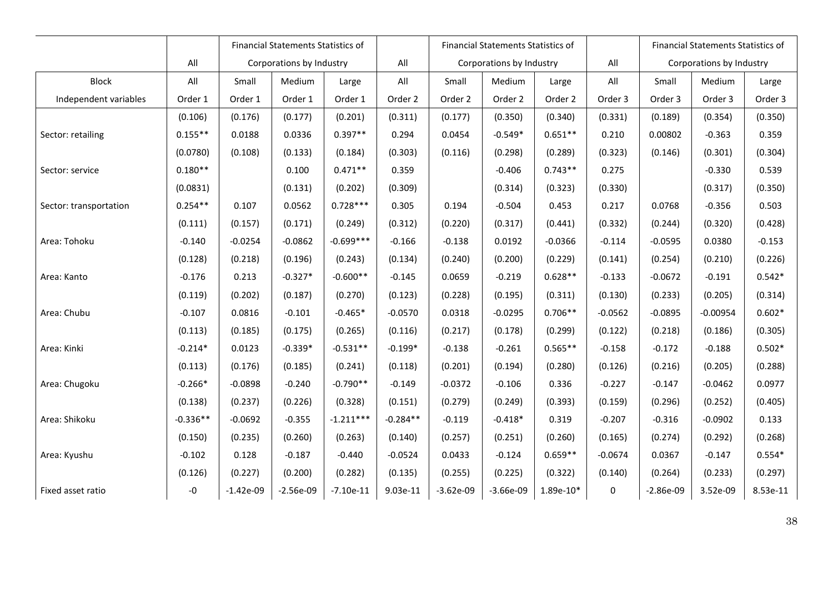|                        |            | <b>Financial Statements Statistics of</b> |                          |             |            |                          | <b>Financial Statements Statistics of</b> |             |           | <b>Financial Statements Statistics of</b> |            |          |
|------------------------|------------|-------------------------------------------|--------------------------|-------------|------------|--------------------------|-------------------------------------------|-------------|-----------|-------------------------------------------|------------|----------|
|                        | All        |                                           | Corporations by Industry |             | All        | Corporations by Industry |                                           |             | All       | Corporations by Industry                  |            |          |
| <b>Block</b>           | All        | Small                                     | Medium                   | Large       | All        | Small                    | Medium                                    | Large       | All       | Small                                     | Medium     | Large    |
| Independent variables  | Order 1    | Order 1                                   | Order 1                  | Order 1     | Order 2    | Order 2                  | Order 2                                   | Order 2     | Order 3   | Order 3                                   | Order 3    | Order 3  |
|                        | (0.106)    | (0.176)                                   | (0.177)                  | (0.201)     | (0.311)    | (0.177)                  | (0.350)                                   | (0.340)     | (0.331)   | (0.189)                                   | (0.354)    | (0.350)  |
| Sector: retailing      | $0.155**$  | 0.0188                                    | 0.0336                   | $0.397**$   | 0.294      | 0.0454                   | $-0.549*$                                 | $0.651**$   | 0.210     | 0.00802                                   | $-0.363$   | 0.359    |
|                        | (0.0780)   | (0.108)                                   | (0.133)                  | (0.184)     | (0.303)    | (0.116)                  | (0.298)                                   | (0.289)     | (0.323)   | (0.146)                                   | (0.301)    | (0.304)  |
| Sector: service        | $0.180**$  |                                           | 0.100                    | $0.471**$   | 0.359      |                          | $-0.406$                                  | $0.743**$   | 0.275     |                                           | $-0.330$   | 0.539    |
|                        | (0.0831)   |                                           | (0.131)                  | (0.202)     | (0.309)    |                          | (0.314)                                   | (0.323)     | (0.330)   |                                           | (0.317)    | (0.350)  |
| Sector: transportation | $0.254**$  | 0.107                                     | 0.0562                   | $0.728***$  | 0.305      | 0.194                    | $-0.504$                                  | 0.453       | 0.217     | 0.0768                                    | $-0.356$   | 0.503    |
|                        | (0.111)    | (0.157)                                   | (0.171)                  | (0.249)     | (0.312)    | (0.220)                  | (0.317)                                   | (0.441)     | (0.332)   | (0.244)                                   | (0.320)    | (0.428)  |
| Area: Tohoku           | $-0.140$   | $-0.0254$                                 | $-0.0862$                | $-0.699***$ | $-0.166$   | $-0.138$                 | 0.0192                                    | $-0.0366$   | $-0.114$  | $-0.0595$                                 | 0.0380     | $-0.153$ |
|                        | (0.128)    | (0.218)                                   | (0.196)                  | (0.243)     | (0.134)    | (0.240)                  | (0.200)                                   | (0.229)     | (0.141)   | (0.254)                                   | (0.210)    | (0.226)  |
| Area: Kanto            | $-0.176$   | 0.213                                     | $-0.327*$                | $-0.600**$  | $-0.145$   | 0.0659                   | $-0.219$                                  | $0.628**$   | $-0.133$  | $-0.0672$                                 | $-0.191$   | $0.542*$ |
|                        | (0.119)    | (0.202)                                   | (0.187)                  | (0.270)     | (0.123)    | (0.228)                  | (0.195)                                   | (0.311)     | (0.130)   | (0.233)                                   | (0.205)    | (0.314)  |
| Area: Chubu            | $-0.107$   | 0.0816                                    | $-0.101$                 | $-0.465*$   | $-0.0570$  | 0.0318                   | $-0.0295$                                 | $0.706**$   | $-0.0562$ | $-0.0895$                                 | $-0.00954$ | $0.602*$ |
|                        | (0.113)    | (0.185)                                   | (0.175)                  | (0.265)     | (0.116)    | (0.217)                  | (0.178)                                   | (0.299)     | (0.122)   | (0.218)                                   | (0.186)    | (0.305)  |
| Area: Kinki            | $-0.214*$  | 0.0123                                    | $-0.339*$                | $-0.531**$  | $-0.199*$  | $-0.138$                 | $-0.261$                                  | $0.565**$   | $-0.158$  | $-0.172$                                  | $-0.188$   | $0.502*$ |
|                        | (0.113)    | (0.176)                                   | (0.185)                  | (0.241)     | (0.118)    | (0.201)                  | (0.194)                                   | (0.280)     | (0.126)   | (0.216)                                   | (0.205)    | (0.288)  |
| Area: Chugoku          | $-0.266*$  | $-0.0898$                                 | $-0.240$                 | $-0.790**$  | $-0.149$   | $-0.0372$                | $-0.106$                                  | 0.336       | $-0.227$  | $-0.147$                                  | $-0.0462$  | 0.0977   |
|                        | (0.138)    | (0.237)                                   | (0.226)                  | (0.328)     | (0.151)    | (0.279)                  | (0.249)                                   | (0.393)     | (0.159)   | (0.296)                                   | (0.252)    | (0.405)  |
| Area: Shikoku          | $-0.336**$ | $-0.0692$                                 | $-0.355$                 | $-1.211***$ | $-0.284**$ | $-0.119$                 | $-0.418*$                                 | 0.319       | $-0.207$  | $-0.316$                                  | $-0.0902$  | 0.133    |
|                        | (0.150)    | (0.235)                                   | (0.260)                  | (0.263)     | (0.140)    | (0.257)                  | (0.251)                                   | (0.260)     | (0.165)   | (0.274)                                   | (0.292)    | (0.268)  |
| Area: Kyushu           | $-0.102$   | 0.128                                     | $-0.187$                 | $-0.440$    | $-0.0524$  | 0.0433                   | $-0.124$                                  | $0.659**$   | $-0.0674$ | 0.0367                                    | $-0.147$   | $0.554*$ |
|                        | (0.126)    | (0.227)                                   | (0.200)                  | (0.282)     | (0.135)    | (0.255)                  | (0.225)                                   | (0.322)     | (0.140)   | (0.264)                                   | (0.233)    | (0.297)  |
| Fixed asset ratio      | $-0$       | $-1.42e-09$                               | $-2.56e-09$              | $-7.10e-11$ | 9.03e-11   | $-3.62e-09$              | $-3.66e-09$                               | $1.89e-10*$ | 0         | $-2.86e-09$                               | 3.52e-09   | 8.53e-11 |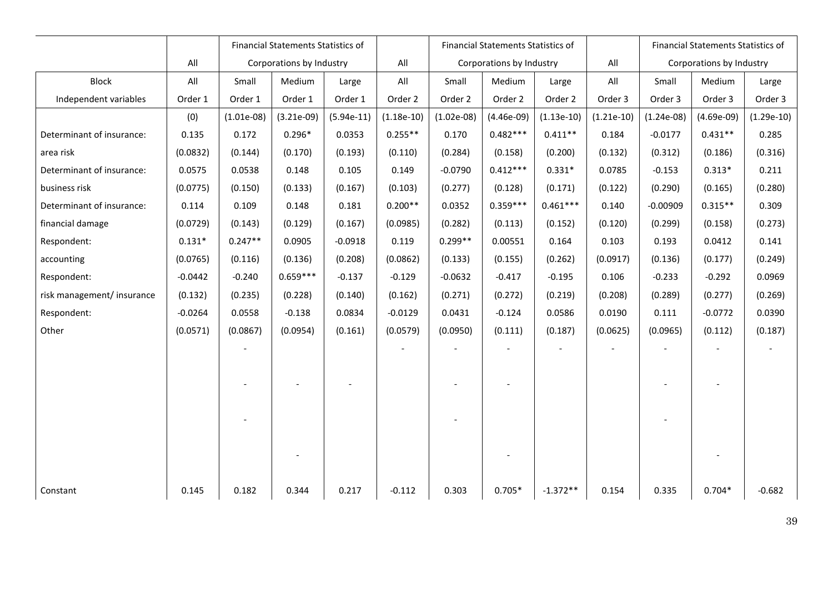|                            |           | <b>Financial Statements Statistics of</b> |              |              |              | Financial Statements Statistics of |              |              |              | Financial Statements Statistics of |              |              |
|----------------------------|-----------|-------------------------------------------|--------------|--------------|--------------|------------------------------------|--------------|--------------|--------------|------------------------------------|--------------|--------------|
|                            | All       | Corporations by Industry                  |              |              | All          | Corporations by Industry           |              |              | All          | Corporations by Industry           |              |              |
| <b>Block</b>               | All       | Small                                     | Medium       | Large        | All          | Small                              | Medium       | Large        | All          | Small                              | Medium       | Large        |
| Independent variables      | Order 1   | Order 1                                   | Order 1      | Order 1      | Order 2      | Order 2                            | Order 2      | Order 2      | Order 3      | Order 3                            | Order 3      | Order 3      |
|                            | (0)       | $(1.01e-08)$                              | $(3.21e-09)$ | $(5.94e-11)$ | $(1.18e-10)$ | $(1.02e-08)$                       | $(4.46e-09)$ | $(1.13e-10)$ | $(1.21e-10)$ | $(1.24e-08)$                       | $(4.69e-09)$ | $(1.29e-10)$ |
| Determinant of insurance:  | 0.135     | 0.172                                     | $0.296*$     | 0.0353       | $0.255**$    | 0.170                              | $0.482***$   | $0.411**$    | 0.184        | $-0.0177$                          | $0.431**$    | 0.285        |
| area risk                  | (0.0832)  | (0.144)                                   | (0.170)      | (0.193)      | (0.110)      | (0.284)                            | (0.158)      | (0.200)      | (0.132)      | (0.312)                            | (0.186)      | (0.316)      |
| Determinant of insurance:  | 0.0575    | 0.0538                                    | 0.148        | 0.105        | 0.149        | $-0.0790$                          | $0.412***$   | $0.331*$     | 0.0785       | $-0.153$                           | $0.313*$     | 0.211        |
| business risk              | (0.0775)  | (0.150)                                   | (0.133)      | (0.167)      | (0.103)      | (0.277)                            | (0.128)      | (0.171)      | (0.122)      | (0.290)                            | (0.165)      | (0.280)      |
| Determinant of insurance:  | 0.114     | 0.109                                     | 0.148        | 0.181        | $0.200**$    | 0.0352                             | $0.359***$   | $0.461***$   | 0.140        | $-0.00909$                         | $0.315**$    | 0.309        |
| financial damage           | (0.0729)  | (0.143)                                   | (0.129)      | (0.167)      | (0.0985)     | (0.282)                            | (0.113)      | (0.152)      | (0.120)      | (0.299)                            | (0.158)      | (0.273)      |
| Respondent:                | $0.131*$  | $0.247**$                                 | 0.0905       | $-0.0918$    | 0.119        | $0.299**$                          | 0.00551      | 0.164        | 0.103        | 0.193                              | 0.0412       | 0.141        |
| accounting                 | (0.0765)  | (0.116)                                   | (0.136)      | (0.208)      | (0.0862)     | (0.133)                            | (0.155)      | (0.262)      | (0.0917)     | (0.136)                            | (0.177)      | (0.249)      |
| Respondent:                | $-0.0442$ | $-0.240$                                  | $0.659***$   | $-0.137$     | $-0.129$     | $-0.0632$                          | $-0.417$     | $-0.195$     | 0.106        | $-0.233$                           | $-0.292$     | 0.0969       |
| risk management/ insurance | (0.132)   | (0.235)                                   | (0.228)      | (0.140)      | (0.162)      | (0.271)                            | (0.272)      | (0.219)      | (0.208)      | (0.289)                            | (0.277)      | (0.269)      |
| Respondent:                | $-0.0264$ | 0.0558                                    | $-0.138$     | 0.0834       | $-0.0129$    | 0.0431                             | $-0.124$     | 0.0586       | 0.0190       | 0.111                              | $-0.0772$    | 0.0390       |
| Other                      | (0.0571)  | (0.0867)                                  | (0.0954)     | (0.161)      | (0.0579)     | (0.0950)                           | (0.111)      | (0.187)      | (0.0625)     | (0.0965)                           | (0.112)      | (0.187)      |
|                            |           |                                           |              |              |              |                                    |              |              |              |                                    |              |              |
|                            |           |                                           |              |              |              |                                    |              |              |              |                                    |              |              |
|                            |           |                                           |              |              |              |                                    |              |              |              |                                    |              |              |
|                            |           |                                           |              |              |              |                                    |              |              |              |                                    |              |              |
|                            |           |                                           |              |              |              |                                    |              |              |              |                                    |              |              |
|                            |           |                                           |              |              |              |                                    |              |              |              |                                    |              |              |
|                            |           |                                           |              |              |              |                                    |              |              |              |                                    |              |              |
|                            |           |                                           |              |              |              |                                    |              |              |              |                                    |              |              |
| Constant                   | 0.145     | 0.182                                     | 0.344        | 0.217        | $-0.112$     | 0.303                              | $0.705*$     | $-1.372**$   | 0.154        | 0.335                              | $0.704*$     | $-0.682$     |